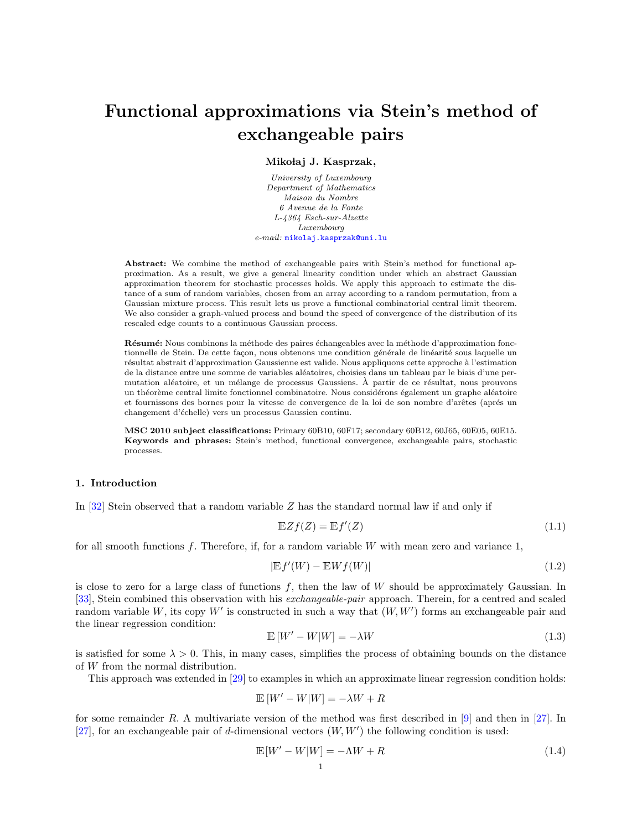# Functional approximations via Stein's method of exchangeable pairs

Mikołaj J. Kasprzak,

University of Luxembourg Department of Mathematics Maison du Nombre 6 Avenue de la Fonte L-4364 Esch-sur-Alzette Luxembourg e-mail: [mikolaj.kasprzak@uni.lu](mailto:mikolaj.kasprzak@uni.lu)

Abstract: We combine the method of exchangeable pairs with Stein's method for functional approximation. As a result, we give a general linearity condition under which an abstract Gaussian approximation theorem for stochastic processes holds. We apply this approach to estimate the distance of a sum of random variables, chosen from an array according to a random permutation, from a Gaussian mixture process. This result lets us prove a functional combinatorial central limit theorem. We also consider a graph-valued process and bound the speed of convergence of the distribution of its rescaled edge counts to a continuous Gaussian process.

Résumé: Nous combinons la méthode des paires échangeables avec la méthode d'approximation fonctionnelle de Stein. De cette façon, nous obtenons une condition générale de linéarité sous laquelle un résultat abstrait d'approximation Gaussienne est valide. Nous appliquons cette approche à l'estimation de la distance entre une somme de variables aléatoires, choisies dans un tableau par le biais d'une permutation aléatoire, et un mélange de processus Gaussiens. À partir de ce résultat, nous prouvons un théorème central limite fonctionnel combinatoire. Nous considérons également un graphe aléatoire et fournissons des bornes pour la vitesse de convergence de la loi de son nombre d'arêtes (aprés un changement d'échelle) vers un processus Gaussien continu.

MSC 2010 subject classifications: Primary 60B10, 60F17; secondary 60B12, 60J65, 60E05, 60E15. Keywords and phrases: Stein's method, functional convergence, exchangeable pairs, stochastic processes.

## 1. Introduction

In [\[32\]](#page-21-0) Stein observed that a random variable Z has the standard normal law if and only if

<span id="page-0-0"></span>
$$
\mathbb{E}Zf(Z) = \mathbb{E}f'(Z) \tag{1.1}
$$

for all smooth functions  $f$ . Therefore, if, for a random variable  $W$  with mean zero and variance 1,

<span id="page-0-1"></span>
$$
|\mathbb{E}f'(W) - \mathbb{E}Wf(W)|\tag{1.2}
$$

is close to zero for a large class of functions  $f$ , then the law of W should be approximately Gaussian. In [\[33\]](#page-22-0), Stein combined this observation with his *exchangeable-pair* approach. Therein, for a centred and scaled random variable W, its copy W' is constructed in such a way that  $(W, W')$  forms an exchangeable pair and the linear regression condition:

<span id="page-0-2"></span>
$$
\mathbb{E}\left[W'-W|W\right] = -\lambda W\tag{1.3}
$$

is satisfied for some  $\lambda > 0$ . This, in many cases, simplifies the process of obtaining bounds on the distance of W from the normal distribution.

This approach was extended in [\[29\]](#page-21-1) to examples in which an approximate linear regression condition holds:

$$
\mathbb{E}\left[W'-W|W\right] = -\lambda W + R
$$

for some remainder R. A multivariate version of the method was first described in [\[9\]](#page-21-2) and then in [\[27\]](#page-21-3). In [\[27\]](#page-21-3), for an exchangeable pair of d-dimensional vectors  $(W, W')$  the following condition is used:

<span id="page-0-3"></span>
$$
\mathbb{E}[W'-W|W] = -\Lambda W + R \tag{1.4}
$$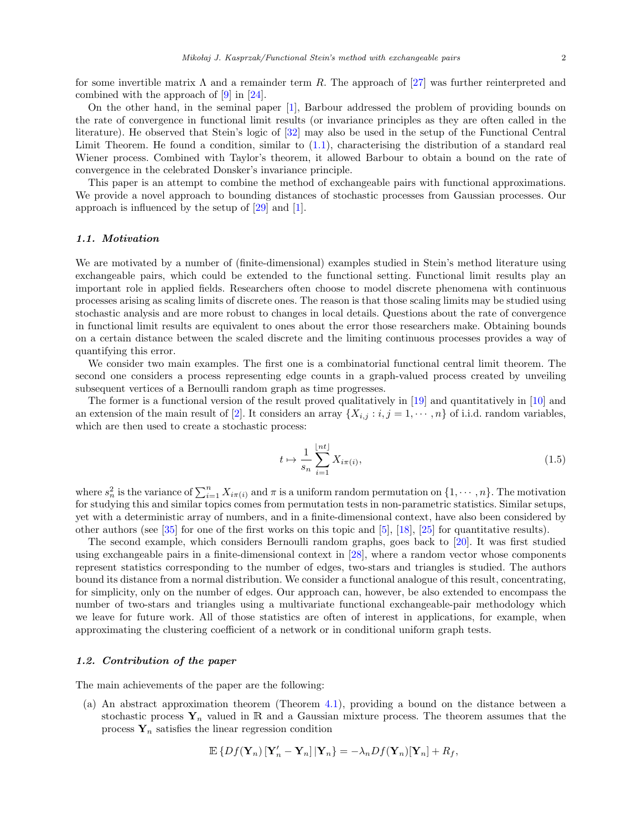for some invertible matrix  $\Lambda$  and a remainder term R. The approach of [\[27\]](#page-21-3) was further reinterpreted and combined with the approach of [\[9\]](#page-21-2) in [\[24\]](#page-21-4).

On the other hand, in the seminal paper [\[1\]](#page-20-0), Barbour addressed the problem of providing bounds on the rate of convergence in functional limit results (or invariance principles as they are often called in the literature). He observed that Stein's logic of [\[32\]](#page-21-0) may also be used in the setup of the Functional Central Limit Theorem. He found a condition, similar to  $(1.1)$ , characterising the distribution of a standard real Wiener process. Combined with Taylor's theorem, it allowed Barbour to obtain a bound on the rate of convergence in the celebrated Donsker's invariance principle.

This paper is an attempt to combine the method of exchangeable pairs with functional approximations. We provide a novel approach to bounding distances of stochastic processes from Gaussian processes. Our approach is influenced by the setup of [\[29\]](#page-21-1) and [\[1\]](#page-20-0).

#### 1.1. Motivation

We are motivated by a number of (finite-dimensional) examples studied in Stein's method literature using exchangeable pairs, which could be extended to the functional setting. Functional limit results play an important role in applied fields. Researchers often choose to model discrete phenomena with continuous processes arising as scaling limits of discrete ones. The reason is that those scaling limits may be studied using stochastic analysis and are more robust to changes in local details. Questions about the rate of convergence in functional limit results are equivalent to ones about the error those researchers make. Obtaining bounds on a certain distance between the scaled discrete and the limiting continuous processes provides a way of quantifying this error.

We consider two main examples. The first one is a combinatorial functional central limit theorem. The second one considers a process representing edge counts in a graph-valued process created by unveiling subsequent vertices of a Bernoulli random graph as time progresses.

The former is a functional version of the result proved qualitatively in [\[19\]](#page-21-5) and quantitatively in [\[10\]](#page-21-6) and an extension of the main result of [\[2\]](#page-20-1). It considers an array  $\{X_{i,j} : i,j = 1, \cdots, n\}$  of i.i.d. random variables, which are then used to create a stochastic process:

<span id="page-1-0"></span>
$$
t \mapsto \frac{1}{s_n} \sum_{i=1}^{\lfloor nt \rfloor} X_{i\pi(i)},\tag{1.5}
$$

where  $s_n^2$  is the variance of  $\sum_{i=1}^n X_{i\pi(i)}$  and  $\pi$  is a uniform random permutation on  $\{1,\dots,n\}$ . The motivation for studying this and similar topics comes from permutation tests in non-parametric statistics. Similar setups, yet with a deterministic array of numbers, and in a finite-dimensional context, have also been considered by other authors (see [\[35\]](#page-22-1) for one of the first works on this topic and [\[5\]](#page-21-7), [\[18\]](#page-21-8), [\[25\]](#page-21-9) for quantitative results).

The second example, which considers Bernoulli random graphs, goes back to [\[20\]](#page-21-10). It was first studied using exchangeable pairs in a finite-dimensional context in [\[28\]](#page-21-11), where a random vector whose components represent statistics corresponding to the number of edges, two-stars and triangles is studied. The authors bound its distance from a normal distribution. We consider a functional analogue of this result, concentrating, for simplicity, only on the number of edges. Our approach can, however, be also extended to encompass the number of two-stars and triangles using a multivariate functional exchangeable-pair methodology which we leave for future work. All of those statistics are often of interest in applications, for example, when approximating the clustering coefficient of a network or in conditional uniform graph tests.

#### 1.2. Contribution of the paper

The main achievements of the paper are the following:

(a) An abstract approximation theorem (Theorem [4.1\)](#page-7-0), providing a bound on the distance between a stochastic process  $Y_n$  valued in R and a Gaussian mixture process. The theorem assumes that the process  $Y_n$  satisfies the linear regression condition

$$
\mathbb{E}\left\{Df(\mathbf{Y}_n)\left[\mathbf{Y}_n'-\mathbf{Y}_n\right]\middle|\mathbf{Y}_n\right\}=-\lambda_nDf(\mathbf{Y}_n)\left[\mathbf{Y}_n\right]+R_f,
$$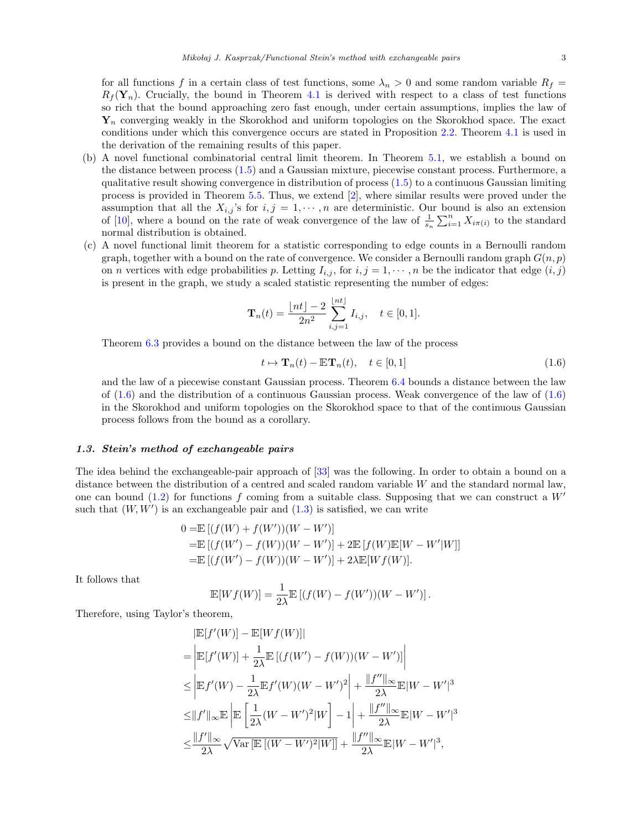for all functions f in a certain class of test functions, some  $\lambda_n > 0$  and some random variable  $R_f =$  $R_f(\mathbf{Y}_n)$ . Crucially, the bound in Theorem [4.1](#page-7-0) is derived with respect to a class of test functions so rich that the bound approaching zero fast enough, under certain assumptions, implies the law of  $Y_n$  converging weakly in the Skorokhod and uniform topologies on the Skorokhod space. The exact conditions under which this convergence occurs are stated in Proposition [2.2.](#page-5-0) Theorem [4.1](#page-7-0) is used in the derivation of the remaining results of this paper.

- (b) A novel functional combinatorial central limit theorem. In Theorem [5.1,](#page-10-0) we establish a bound on the distance between process [\(1.5\)](#page-1-0) and a Gaussian mixture, piecewise constant process. Furthermore, a qualitative result showing convergence in distribution of process  $(1.5)$  to a continuous Gaussian limiting process is provided in Theorem [5.5.](#page-14-0) Thus, we extend [\[2\]](#page-20-1), where similar results were proved under the assumption that all the  $X_{i,j}$ 's for  $i, j = 1, \dots, n$  are deterministic. Our bound is also an extension of [\[10\]](#page-21-6), where a bound on the rate of weak convergence of the law of  $\frac{1}{s_n} \sum_{i=1}^n X_{i\pi(i)}$  to the standard normal distribution is obtained.
- (c) A novel functional limit theorem for a statistic corresponding to edge counts in a Bernoulli random graph, together with a bound on the rate of convergence. We consider a Bernoulli random graph  $G(n, p)$ on *n* vertices with edge probabilities *p*. Letting  $I_{i,j}$ , for  $i, j = 1, \dots, n$  be the indicator that edge  $(i, j)$ is present in the graph, we study a scaled statistic representing the number of edges:

$$
\mathbf{T}_n(t) = \frac{\lfloor nt \rfloor - 2}{2n^2} \sum_{i,j=1}^{\lfloor nt \rfloor} I_{i,j}, \quad t \in [0,1].
$$

Theorem [6.3](#page-18-0) provides a bound on the distance between the law of the process

<span id="page-2-0"></span>
$$
t \mapsto \mathbf{T}_n(t) - \mathbb{E} \mathbf{T}_n(t), \quad t \in [0, 1] \tag{1.6}
$$

and the law of a piecewise constant Gaussian process. Theorem [6.4](#page-19-0) bounds a distance between the law of  $(1.6)$  and the distribution of a continuous Gaussian process. Weak convergence of the law of  $(1.6)$ in the Skorokhod and uniform topologies on the Skorokhod space to that of the continuous Gaussian process follows from the bound as a corollary.

#### 1.3. Stein's method of exchangeable pairs

The idea behind the exchangeable-pair approach of [\[33\]](#page-22-0) was the following. In order to obtain a bound on a distance between the distribution of a centred and scaled random variable W and the standard normal law, one can bound [\(1.2\)](#page-0-1) for functions f coming from a suitable class. Supposing that we can construct a  $W'$ such that  $(W, W')$  is an exchangeable pair and  $(1.3)$  is satisfied, we can write

$$
0 = \mathbb{E} [(f(W) + f(W'))(W - W')] \n= \mathbb{E} [(f(W') - f(W))(W - W')] + 2 \mathbb{E} [f(W) \mathbb{E}[W - W'|W]] \n= \mathbb{E} [(f(W') - f(W))(W - W')] + 2\lambda \mathbb{E}[Wf(W)].
$$

It follows that

$$
\mathbb{E}[Wf(W)] = \frac{1}{2\lambda} \mathbb{E} [(f(W) - f(W'))(W - W')] .
$$

Therefore, using Taylor's theorem,

$$
\begin{split} &\mathbb{E}[f'(W)] - \mathbb{E}[Wf(W)]| \\ & = \left| \mathbb{E}[f'(W)] + \frac{1}{2\lambda} \mathbb{E}\left[(f(W') - f(W))(W - W')\right] \right| \\ & \leq \left| \mathbb{E}f'(W) - \frac{1}{2\lambda} \mathbb{E}f'(W)(W - W')^{2} \right| + \frac{\|f''\|_{\infty}}{2\lambda} \mathbb{E}|W - W'|^{3} \\ & \leq \|f'\|_{\infty} \mathbb{E}\left| \mathbb{E}\left[\frac{1}{2\lambda}(W - W')^{2}|W\right] - 1 \right| + \frac{\|f''\|_{\infty}}{2\lambda} \mathbb{E}|W - W'|^{3} \\ & \leq \frac{\|f'\|_{\infty}}{2\lambda} \sqrt{\text{Var}\left[\mathbb{E}\left[(W - W')^{2}|W]\right]} + \frac{\|f''\|_{\infty}}{2\lambda} \mathbb{E}|W - W'|^{3}, \end{split}
$$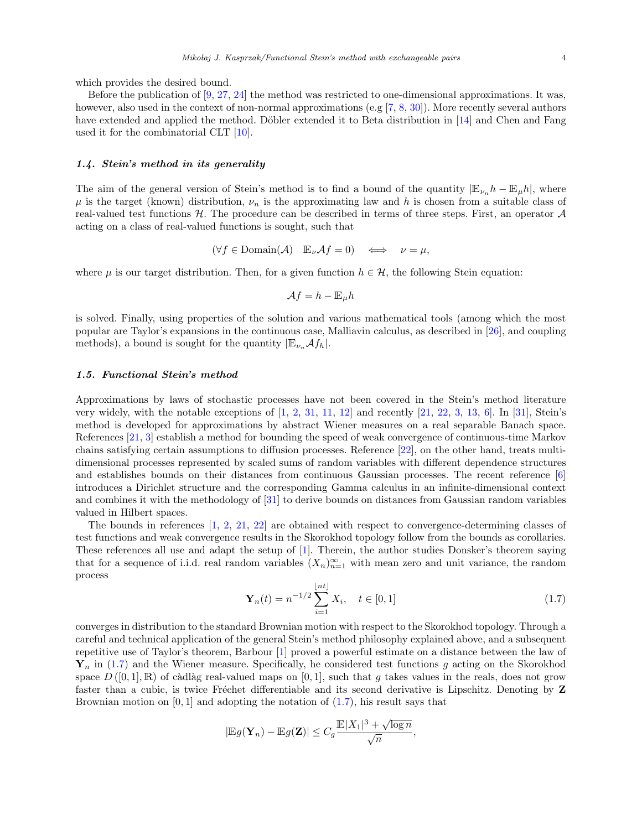which provides the desired bound.

Before the publication of  $[9, 27, 24]$  $[9, 27, 24]$  $[9, 27, 24]$  $[9, 27, 24]$  $[9, 27, 24]$  the method was restricted to one-dimensional approximations. It was, however, also used in the context of non-normal approximations (e.g  $[7, 8, 30]$  $[7, 8, 30]$  $[7, 8, 30]$  $[7, 8, 30]$  $[7, 8, 30]$ ). More recently several authors have extended and applied the method. Döbler extended it to Beta distribution in [\[14\]](#page-21-15) and Chen and Fang used it for the combinatorial CLT [\[10\]](#page-21-6).

#### 1.4. Stein's method in its generality

The aim of the general version of Stein's method is to find a bound of the quantity  $|\mathbb{E}_{\nu_n} h - \mathbb{E}_{\mu} h|$ , where  $\mu$  is the target (known) distribution,  $\nu_n$  is the approximating law and h is chosen from a suitable class of real-valued test functions  $\mathcal{H}$ . The procedure can be described in terms of three steps. First, an operator  $\mathcal{A}$ acting on a class of real-valued functions is sought, such that

$$
(\forall f \in \text{Domain}(\mathcal{A}) \quad \mathbb{E}_{\nu} \mathcal{A}f = 0) \quad \Longleftrightarrow \quad \nu = \mu,
$$

where  $\mu$  is our target distribution. Then, for a given function  $h \in \mathcal{H}$ , the following Stein equation:

$$
\mathcal{A}f = h - \mathbb{E}_{\mu}h
$$

is solved. Finally, using properties of the solution and various mathematical tools (among which the most popular are Taylor's expansions in the continuous case, Malliavin calculus, as described in [\[26\]](#page-21-16), and coupling methods), a bound is sought for the quantity  $|\mathbb{E}_{\nu_n} \mathcal{A} f_h|$ .

#### 1.5. Functional Stein's method

Approximations by laws of stochastic processes have not been covered in the Stein's method literature very widely, with the notable exceptions of  $\begin{bmatrix} 1, 2, 31, 11, 12 \end{bmatrix}$  $\begin{bmatrix} 1, 2, 31, 11, 12 \end{bmatrix}$  $\begin{bmatrix} 1, 2, 31, 11, 12 \end{bmatrix}$  $\begin{bmatrix} 1, 2, 31, 11, 12 \end{bmatrix}$  $\begin{bmatrix} 1, 2, 31, 11, 12 \end{bmatrix}$  $\begin{bmatrix} 1, 2, 31, 11, 12 \end{bmatrix}$  $\begin{bmatrix} 1, 2, 31, 11, 12 \end{bmatrix}$  and recently  $\begin{bmatrix} 21, 22, 3, 13, 6 \end{bmatrix}$  $\begin{bmatrix} 21, 22, 3, 13, 6 \end{bmatrix}$  $\begin{bmatrix} 21, 22, 3, 13, 6 \end{bmatrix}$  $\begin{bmatrix} 21, 22, 3, 13, 6 \end{bmatrix}$  $\begin{bmatrix} 21, 22, 3, 13, 6 \end{bmatrix}$  $\begin{bmatrix} 21, 22, 3, 13, 6 \end{bmatrix}$  $\begin{bmatrix} 21, 22, 3, 13, 6 \end{bmatrix}$ . In  $\begin{bmatrix} 31 \end{bmatrix}$ , Stein's method is developed for approximations by abstract Wiener measures on a real separable Banach space. References [\[21,](#page-21-20) [3\]](#page-20-2) establish a method for bounding the speed of weak convergence of continuous-time Markov chains satisfying certain assumptions to diffusion processes. Reference [\[22\]](#page-21-21), on the other hand, treats multidimensional processes represented by scaled sums of random variables with different dependence structures and establishes bounds on their distances from continuous Gaussian processes. The recent reference [\[6\]](#page-21-23) introduces a Dirichlet structure and the corresponding Gamma calculus in an infinite-dimensional context and combines it with the methodology of [\[31\]](#page-21-17) to derive bounds on distances from Gaussian random variables valued in Hilbert spaces.

The bounds in references [\[1,](#page-20-0) [2,](#page-20-1) [21,](#page-21-20) [22\]](#page-21-21) are obtained with respect to convergence-determining classes of test functions and weak convergence results in the Skorokhod topology follow from the bounds as corollaries. These references all use and adapt the setup of [\[1\]](#page-20-0). Therein, the author studies Donsker's theorem saying that for a sequence of i.i.d. real random variables  $(X_n)_{n=1}^{\infty}$  with mean zero and unit variance, the random process

<span id="page-3-0"></span>
$$
\mathbf{Y}_n(t) = n^{-1/2} \sum_{i=1}^{\lfloor nt \rfloor} X_i, \quad t \in [0, 1]
$$
\n(1.7)

converges in distribution to the standard Brownian motion with respect to the Skorokhod topology. Through a careful and technical application of the general Stein's method philosophy explained above, and a subsequent repetitive use of Taylor's theorem, Barbour [\[1\]](#page-20-0) proved a powerful estimate on a distance between the law of  $Y_n$  in [\(1.7\)](#page-3-0) and the Wiener measure. Specifically, he considered test functions g acting on the Skorokhod space  $D([0,1], \mathbb{R})$  of càdlàg real-valued maps on [0, 1], such that g takes values in the reals, does not grow faster than a cubic, is twice Fréchet differentiable and its second derivative is Lipschitz. Denoting by **Z** Brownian motion on  $[0, 1]$  and adopting the notation of  $(1.7)$ , his result says that

$$
|\mathbb{E}g(\mathbf{Y}_n)-\mathbb{E}g(\mathbf{Z})|\leq C_g\frac{\mathbb{E}|X_1|^3+\sqrt{\log n}}{\sqrt{n}},
$$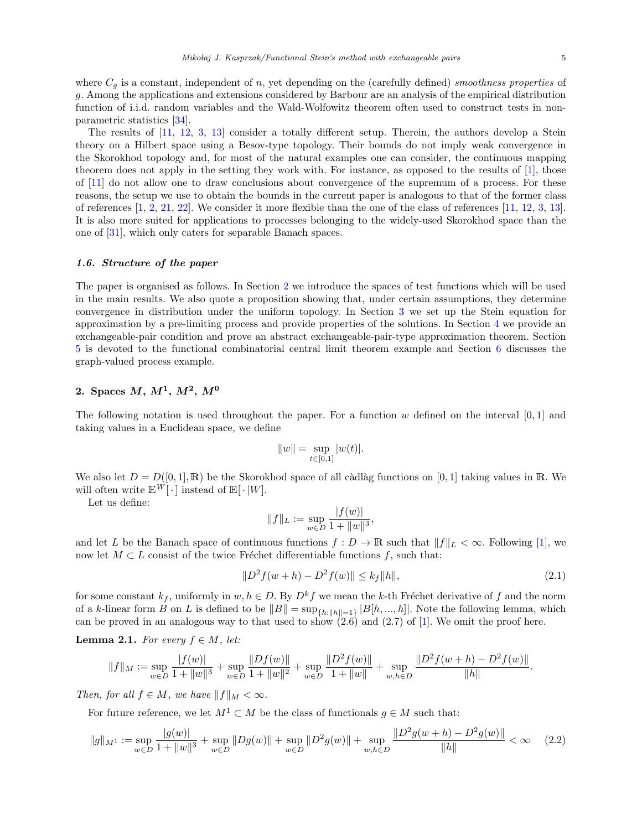where  $C_g$  is a constant, independent of n, yet depending on the (carefully defined) smoothness properties of g. Among the applications and extensions considered by Barbour are an analysis of the empirical distribution function of i.i.d. random variables and the Wald-Wolfowitz theorem often used to construct tests in nonparametric statistics [\[34\]](#page-22-2).

The results of [\[11,](#page-21-18) [12,](#page-21-19) [3,](#page-20-2) [13\]](#page-21-22) consider a totally different setup. Therein, the authors develop a Stein theory on a Hilbert space using a Besov-type topology. Their bounds do not imply weak convergence in the Skorokhod topology and, for most of the natural examples one can consider, the continuous mapping theorem does not apply in the setting they work with. For instance, as opposed to the results of [\[1\]](#page-20-0), those of [\[11\]](#page-21-18) do not allow one to draw conclusions about convergence of the supremum of a process. For these reasons, the setup we use to obtain the bounds in the current paper is analogous to that of the former class of references [\[1,](#page-20-0) [2,](#page-20-1) [21,](#page-21-20) [22\]](#page-21-21). We consider it more flexible than the one of the class of references [\[11,](#page-21-18) [12,](#page-21-19) [3,](#page-20-2) [13\]](#page-21-22). It is also more suited for applications to processes belonging to the widely-used Skorokhod space than the one of [\[31\]](#page-21-17), which only caters for separable Banach spaces.

#### 1.6. Structure of the paper

The paper is organised as follows. In Section [2](#page-4-0) we introduce the spaces of test functions which will be used in the main results. We also quote a proposition showing that, under certain assumptions, they determine convergence in distribution under the uniform topology. In Section [3](#page-5-1) we set up the Stein equation for approximation by a pre-limiting process and provide properties of the solutions. In Section [4](#page-6-0) we provide an exchangeable-pair condition and prove an abstract exchangeable-pair-type approximation theorem. Section [5](#page-8-0) is devoted to the functional combinatorial central limit theorem example and Section [6](#page-16-0) discusses the graph-valued process example.

## <span id="page-4-0"></span>2. Spaces  $M, M^1, M^2, M^0$

The following notation is used throughout the paper. For a function  $w$  defined on the interval  $[0,1]$  and taking values in a Euclidean space, we define

$$
||w|| = \sup_{t \in [0,1]} |w(t)|.
$$

We also let  $D = D([0, 1], \mathbb{R})$  be the Skorokhod space of all càdlàg functions on [0, 1] taking values in R. We will often write  $\mathbb{E}^{W}[\cdot]$  instead of  $\mathbb{E}[\cdot|W]$ .

Let us define:

$$
||f||_L := \sup_{w \in D} \frac{|f(w)|}{1 + ||w||^3},
$$

and let L be the Banach space of continuous functions  $f: D \to \mathbb{R}$  such that  $||f||_L < \infty$ . Following [\[1\]](#page-20-0), we now let  $M \subset L$  consist of the twice Fréchet differentiable functions f, such that:

<span id="page-4-1"></span>
$$
||D^2 f(w+h) - D^2 f(w)|| \le k_f ||h||,
$$
\n(2.1)

for some constant  $k_f$ , uniformly in  $w, h \in D$ . By  $D^k f$  we mean the k-th Fréchet derivative of f and the norm of a k-linear form B on L is defined to be  $||B|| = \sup_{\{h: ||h||=1\}} |B[h,...,h]|$ . Note the following lemma, which can be proved in an analogous way to that used to show  $(2.6)$  and  $(2.7)$  of [\[1\]](#page-20-0). We omit the proof here.

**Lemma 2.1.** For every  $f \in M$ , let:

$$
||f||_M := \sup_{w \in D} \frac{|f(w)|}{1 + ||w||^3} + \sup_{w \in D} \frac{||Df(w)||}{1 + ||w||^2} + \sup_{w \in D} \frac{||D^2f(w)||}{1 + ||w||} + \sup_{w,h \in D} \frac{||D^2f(w+h) - D^2f(w)||}{||h||}.
$$

Then, for all  $f \in M$ , we have  $||f||_M < \infty$ .

For future reference, we let  $M^1 \subset M$  be the class of functionals  $g \in M$  such that:

$$
||g||_{M^{1}} := \sup_{w \in D} \frac{|g(w)|}{1 + ||w||^{3}} + \sup_{w \in D} ||Dg(w)|| + \sup_{w \in D} ||D^{2}g(w)|| + \sup_{w,h \in D} \frac{||D^{2}g(w+h) - D^{2}g(w)||}{||h||} < \infty \quad (2.2)
$$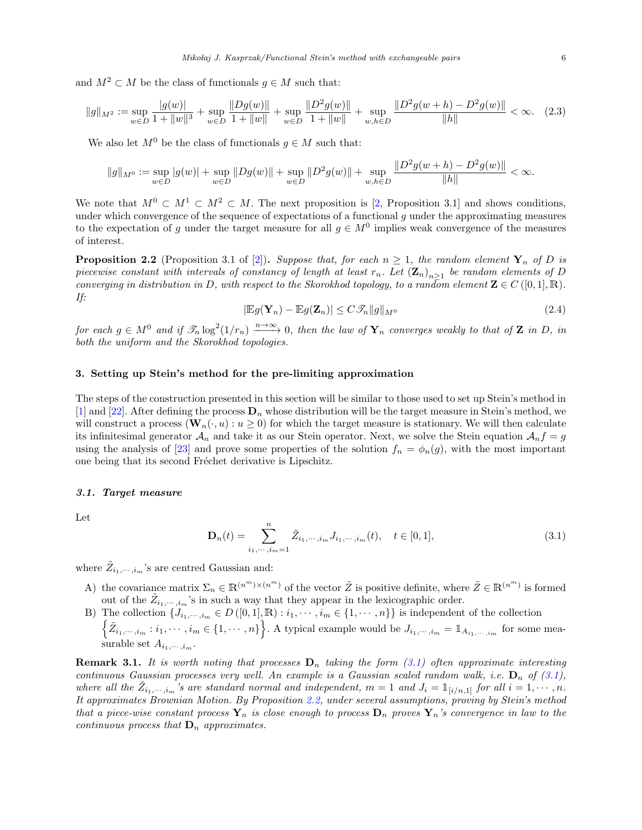and  $M^2 \subset M$  be the class of functionals  $q \in M$  such that:

$$
\|g\|_{M^2} := \sup_{w \in D} \frac{|g(w)|}{1 + \|w\|^3} + \sup_{w \in D} \frac{\|Dg(w)\|}{1 + \|w\|} + \sup_{w \in D} \frac{\|D^2g(w)\|}{1 + \|w\|} + \sup_{w,h \in D} \frac{\|D^2g(w+h) - D^2g(w)\|}{\|h\|} < \infty. \tag{2.3}
$$

We also let  $M^0$  be the class of functionals  $q \in M$  such that:

$$
\|g\|_{M^0} := \sup_{w \in D} |g(w)| + \sup_{w \in D} \|Dg(w)\| + \sup_{w \in D} \|D^2g(w)\| + \sup_{w,h \in D} \frac{\|D^2g(w+h) - D^2g(w)\|}{\|h\|} < \infty.
$$

We note that  $M^0 \subset M^1 \subset M^2 \subset M$ . The next proposition is [\[2,](#page-20-1) Proposition 3.1] and shows conditions, under which convergence of the sequence of expectations of a functional q under the approximating measures to the expectation of g under the target measure for all  $g \in M^0$  implies weak convergence of the measures of interest.

<span id="page-5-0"></span>**Proposition 2.2** (Proposition 3.1 of [\[2\]](#page-20-1)). Suppose that, for each  $n \geq 1$ , the random element  $Y_n$  of D is piecewise constant with intervals of constancy of length at least  $r_n$ . Let  $(\mathbf{Z}_n)_{n\geq 1}$  be random elements of D converging in distribution in D, with respect to the Skorokhod topology, to a random element  $\mathbf{Z} \in C([0,1], \mathbb{R})$ . If:

<span id="page-5-3"></span>
$$
|\mathbb{E}g(\mathbf{Y}_n) - \mathbb{E}g(\mathbf{Z}_n)| \le C\mathcal{T}_n \|g\|_{M^0}
$$
\n(2.4)

for each  $g \in M^0$  and if  $\mathcal{T}_n \log^2(1/r_n) \xrightarrow{n \to \infty} 0$ , then the law of  $\mathbf{Y}_n$  converges weakly to that of  $\mathbf{Z}$  in  $D$ , in both the uniform and the Skorokhod topologies.

## <span id="page-5-1"></span>3. Setting up Stein's method for the pre-limiting approximation

The steps of the construction presented in this section will be similar to those used to set up Stein's method in [\[1\]](#page-20-0) and [\[22\]](#page-21-21). After defining the process  $\mathbf{D}_n$  whose distribution will be the target measure in Stein's method, we will construct a process  $(\mathbf{W}_n(\cdot, u) : u \ge 0)$  for which the target measure is stationary. We will then calculate its infinitesimal generator  $\mathcal{A}_n$  and take it as our Stein operator. Next, we solve the Stein equation  $\mathcal{A}_n f = g$ using the analysis of [\[23\]](#page-21-24) and prove some properties of the solution  $f_n = \phi_n(g)$ , with the most important one being that its second Fréchet derivative is Lipschitz.

#### 3.1. Target measure

Let

<span id="page-5-2"></span>
$$
\mathbf{D}_n(t) = \sum_{i_1, \dots, i_m = 1}^n \tilde{Z}_{i_1, \dots, i_m} J_{i_1, \dots, i_m}(t), \quad t \in [0, 1],
$$
\n(3.1)

where  $\tilde{Z}_{i_1,\dots,i_m}$ 's are centred Gaussian and:

- A) the covariance matrix  $\Sigma_n \in \mathbb{R}^{(n^m)\times(n^m)}$  of the vector  $\tilde{Z}$  is positive definite, where  $\tilde{Z} \in \mathbb{R}^{(n^m)}$  is formed out of the  $\tilde{Z}_{i_1,\dots,i_m}$ 's in such a way that they appear in the lexicographic order.
- B) The collection  $\{J_{i_1,\dots,i_m}\in D([0,1],\mathbb{R}):i_1,\dots,i_m\in\{1,\dots,n\}\}\$ is independent of the collection  $\left\{ \tilde{Z}_{i_1,\dots,i_m}:i_1,\dots,i_m\in\{1,\dots,n\}\right\}$ . A typical example would be  $J_{i_1,\dots,i_m}=\mathbb{1}_{A_{i_1,\dots,i_m}}$  for some measurable set  $A_{i,j}$

**Remark 3.1.** It is worth noting that processes  $D_n$  taking the form [\(3.1\)](#page-5-2) often approximate interesting continuous Gaussian processes very well. An example is a Gaussian scaled random walk, i.e.  $\mathbf{D}_n$  of [\(3.1\)](#page-5-2), where all the  $\tilde{Z}_{i_1,\dots,i_m}$ 's are standard normal and independent,  $m=1$  and  $J_i=\mathbb{1}_{[i/n,1]}$  for all  $i=1,\dots,n$ . It approximates Brownian Motion. By Proposition [2.2,](#page-5-0) under several assumptions, proving by Stein's method that a piece-wise constant process  $Y_n$  is close enough to process  $D_n$  proves  $Y_n$ 's convergence in law to the continuous process that  $\mathbf{D}_n$  approximates.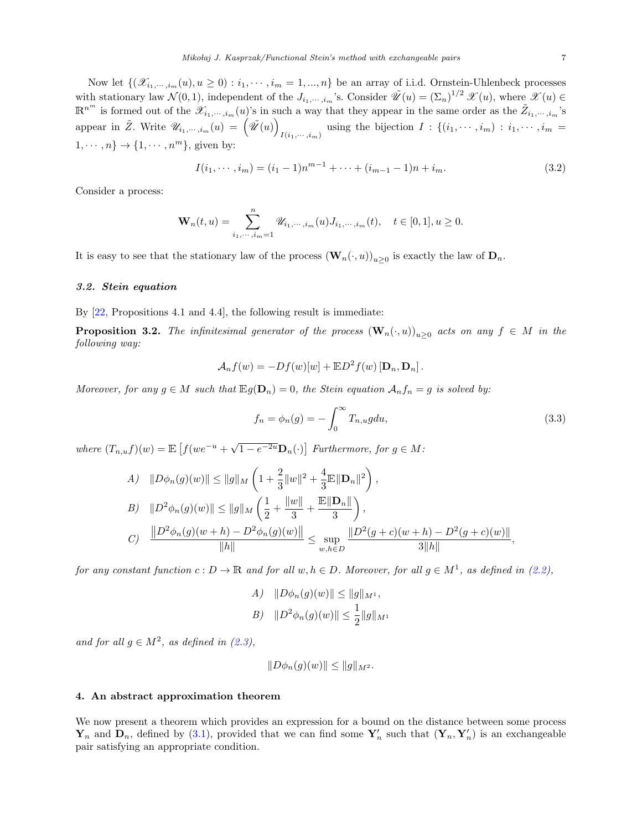Now let  $\{(\mathscr{X}_{i_1,\dots,i_m}(u), u \geq 0) : i_1,\dots,i_m = 1,...,n\}$  be an array of i.i.d. Ornstein-Uhlenbeck processes with stationary law  $\mathcal{N}(0,1)$ , independent of the  $J_{i_1,\dots,i_m}$ 's. Consider  $\tilde{\mathcal{U}}(u) = (\Sigma_n)^{1/2} \mathcal{X}(u)$ , where  $\mathcal{X}(u) \in$  $\mathbb{R}^{n^m}$  is formed out of the  $\mathscr{X}_{i_1,\dots,i_m}(u)$ 's in such a way that they appear in the same order as the  $\tilde{Z}_{i_1,\dots,i_m}$ 's appear in  $\tilde{Z}$ . Write  $\mathscr{U}_{i_1,\dots,i_m}(u) = (\tilde{\mathscr{U}}(u))$  $I(i_1,\dots,i_m)$  using the bijection  $I: \{(i_1,\dots,i_m): i_1,\dots,i_m\}$  $1, \cdots, n\} \rightarrow \{1, \cdots, n^m\}$ , given by:

$$
I(i_1, \cdots, i_m) = (i_1 - 1)n^{m-1} + \cdots + (i_{m-1} - 1)n + i_m.
$$
\n(3.2)

Consider a process:

$$
\mathbf{W}_{n}(t,u) = \sum_{i_{1}, \cdots, i_{m}=1}^{n} \mathscr{U}_{i_{1}, \cdots, i_{m}}(u) J_{i_{1}, \cdots, i_{m}}(t), \quad t \in [0,1], u \ge 0.
$$

It is easy to see that the stationary law of the process  $(\mathbf{W}_n(\cdot, u))_{u\geq 0}$  is exactly the law of  $\mathbf{D}_n$ .

#### 3.2. Stein equation

By [\[22,](#page-21-21) Propositions 4.1 and 4.4], the following result is immediate:

<span id="page-6-2"></span>**Proposition 3.2.** The infinitesimal generator of the process  $(\mathbf{W}_n(\cdot,u))_{u\geq0}$  acts on any  $f \in M$  in the following way:

$$
\mathcal{A}_n f(w) = -Df(w)[w] + \mathbb{E}D^2 f(w) [\mathbf{D}_n, \mathbf{D}_n].
$$

Moreover, for any  $g \in M$  such that  $\mathbb{E}g(\mathbf{D}_n) = 0$ , the Stein equation  $\mathcal{A}_n f_n = g$  is solved by:

<span id="page-6-1"></span>
$$
f_n = \phi_n(g) = -\int_0^\infty T_{n,u} g du,\tag{3.3}
$$

where  $(T_{n,u}f)(w) = \mathbb{E}\left[f(we^{-u} + \sqrt{1-e^{-2u}}\mathbf{D}_n(\cdot)\right]$  Furthermore, for  $g \in M$ :

$$
A) \quad ||D\phi_n(g)(w)|| \le ||g||_M \left(1 + \frac{2}{3}||w||^2 + \frac{4}{3}\mathbb{E}||\mathbf{D}_n||^2\right),
$$
  
\n
$$
B) \quad ||D^2\phi_n(g)(w)|| \le ||g||_M \left(\frac{1}{2} + \frac{||w||}{3} + \frac{\mathbb{E}||\mathbf{D}_n||}{3}\right),
$$
  
\n
$$
C) \quad \frac{||D^2\phi_n(g)(w+h) - D^2\phi_n(g)(w)||}{||h||} \le \sup_{w,h\in D} \frac{||D^2(g+c)(w+h) - D^2(g+c)(w)||}{3||h||},
$$

for any constant function  $c: D \to \mathbb{R}$  and for all  $w, h \in D$ . Moreover, for all  $g \in M^1$ , as defined in [\(2.2\)](#page-4-1),

A) 
$$
||D\phi_n(g)(w)|| \le ||g||_{M^1},
$$
  
B)  $||D^2\phi_n(g)(w)|| \le \frac{1}{2}||g||_{M^1}$ 

and for all  $g \in M^2$ , as defined in [\(2.3\)](#page-5-3),

$$
||D\phi_n(g)(w)|| \le ||g||_{M^2}.
$$

#### <span id="page-6-0"></span>4. An abstract approximation theorem

We now present a theorem which provides an expression for a bound on the distance between some process  $\mathbf{Y}_n$  and  $\mathbf{D}_n$ , defined by [\(3.1\)](#page-5-2), provided that we can find some  $\mathbf{Y}'_n$  such that  $(\mathbf{Y}_n, \mathbf{Y}'_n)$  is an exchangeable pair satisfying an appropriate condition.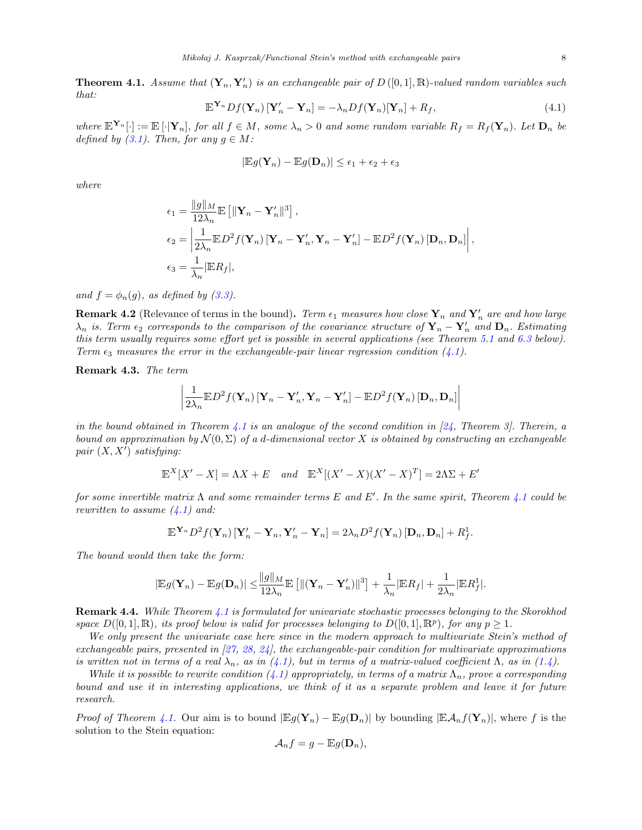<span id="page-7-0"></span>**Theorem 4.1.** Assume that  $(\mathbf{Y}_n, \mathbf{Y}_n')$  is an exchangeable pair of  $D([0, 1], \mathbb{R})$ -valued random variables such that:

<span id="page-7-1"></span>
$$
\mathbb{E}^{\mathbf{Y}_n} Df(\mathbf{Y}_n) \left[ \mathbf{Y}_n' - \mathbf{Y}_n \right] = -\lambda_n Df(\mathbf{Y}_n) \left[ \mathbf{Y}_n \right] + R_f,
$$
\n(4.1)

where  $\mathbb{E}^{\mathbf{Y}_n}[\cdot] := \mathbb{E}[\cdot | \mathbf{Y}_n]$ , for all  $f \in M$ , some  $\lambda_n > 0$  and some random variable  $R_f = R_f(\mathbf{Y}_n)$ . Let  $\mathbf{D}_n$  be defined by  $(3.1)$ . Then, for any  $g \in M$ :

$$
|\mathbb{E}g(\mathbf{Y}_n)-\mathbb{E}g(\mathbf{D}_n)|\leq \epsilon_1+\epsilon_2+\epsilon_3
$$

where

$$
\epsilon_1 = \frac{\|g\|_M}{12\lambda_n} \mathbb{E} \left[ \|\mathbf{Y}_n - \mathbf{Y}_n'\|^3 \right],
$$
  
\n
$$
\epsilon_2 = \left| \frac{1}{2\lambda_n} \mathbb{E} D^2 f(\mathbf{Y}_n) \left[ \mathbf{Y}_n - \mathbf{Y}_n', \mathbf{Y}_n - \mathbf{Y}_n' \right] - \mathbb{E} D^2 f(\mathbf{Y}_n) \left[ \mathbf{D}_n, \mathbf{D}_n \right] \right|,
$$
  
\n
$$
\epsilon_3 = \frac{1}{\lambda_n} |\mathbb{E} R_f|,
$$

and  $f = \phi_n(q)$ , as defined by [\(3.3\)](#page-6-1).

**Remark 4.2** (Relevance of terms in the bound). Term  $\epsilon_1$  measures how close  $\mathbf{Y}_n$  and  $\mathbf{Y}'_n$  are and how large  $\lambda_n$  is. Term  $\epsilon_2$  corresponds to the comparison of the covariance structure of  $\mathbf{Y}_n - \mathbf{Y}_n'$  and  $\mathbf{D}_n$ . Estimating this term usually requires some effort yet is possible in several applications (see Theorem [5.1](#page-10-0) and [6.3](#page-18-0) below). Term  $\epsilon_3$  measures the error in the exchangeable-pair linear regression condition [\(4.1\)](#page-7-1).

Remark 4.3. The term

$$
\left| \frac{1}{2\lambda_n} \mathbb{E} D^2 f(\mathbf{Y}_n) \left[ \mathbf{Y}_n - \mathbf{Y}'_n, \mathbf{Y}_n - \mathbf{Y}'_n \right] - \mathbb{E} D^2 f(\mathbf{Y}_n) \left[ \mathbf{D}_n, \mathbf{D}_n \right] \right|
$$

in the bound obtained in Theorem [4.1](#page-7-0) is an analogue of the second condition in  $[24,$  Theorem 3. Therein, a bound on approximation by  $\mathcal{N}(0, \Sigma)$  of a d-dimensional vector X is obtained by constructing an exchangeable pair  $(X, X')$  satisfying:

$$
\mathbb{E}^X[X'-X] = \Lambda X + E \quad and \quad \mathbb{E}^X[(X'-X)(X'-X)^T] = 2\Lambda \Sigma + E'
$$

for some invertible matrix  $\Lambda$  and some remainder terms E and E'. In the same spirit, Theorem [4.1](#page-7-0) could be rewritten to assume  $(4.1)$  and:

$$
\mathbb{E}^{\mathbf{Y}_n} D^2 f(\mathbf{Y}_n) \left[ \mathbf{Y}_n' - \mathbf{Y}_n, \mathbf{Y}_n' - \mathbf{Y}_n \right] = 2\lambda_n D^2 f(\mathbf{Y}_n) \left[ \mathbf{D}_n, \mathbf{D}_n \right] + R_f^1.
$$

The bound would then take the form:

$$
|\mathbb{E}g(\mathbf{Y}_n)-\mathbb{E}g(\mathbf{D}_n)|\leq \frac{\|g\|_M}{12\lambda_n}\mathbb{E}\left[\|(\mathbf{Y}_n-\mathbf{Y}_n')\|^3\right]+\frac{1}{\lambda_n}|\mathbb{E} R_f|+\frac{1}{2\lambda_n}|\mathbb{E} R_f^1|.
$$

<span id="page-7-2"></span>Remark 4.4. While Theorem [4.1](#page-7-0) is formulated for univariate stochastic processes belonging to the Skorokhod space  $D([0,1], \mathbb{R})$ , its proof below is valid for processes belonging to  $D([0,1], \mathbb{R}^p)$ , for any  $p \geq 1$ .

We only present the univariate case here since in the modern approach to multivariate Stein's method of exchangeable pairs, presented in [\[27,](#page-21-3) [28,](#page-21-11) [24\]](#page-21-4), the exchangeable-pair condition for multivariate approximations is written not in terms of a real  $\lambda_n$ , as in [\(4.1\)](#page-7-1), but in terms of a matrix-valued coefficient  $\Lambda$ , as in [\(1.4\)](#page-0-3).

While it is possible to rewrite condition [\(4.1\)](#page-7-1) appropriately, in terms of a matrix  $\Lambda_n$ , prove a corresponding bound and use it in interesting applications, we think of it as a separate problem and leave it for future research.

*Proof of Theorem [4.1.](#page-7-0)* Our aim is to bound  $\mathbb{E}g(\mathbf{Y}_n) - \mathbb{E}g(\mathbf{D}_n)$  by bounding  $\mathbb{E}A_nf(\mathbf{Y}_n)$ , where f is the solution to the Stein equation:

$$
\mathcal{A}_n f = g - \mathbb{E} g(\mathbf{D}_n),
$$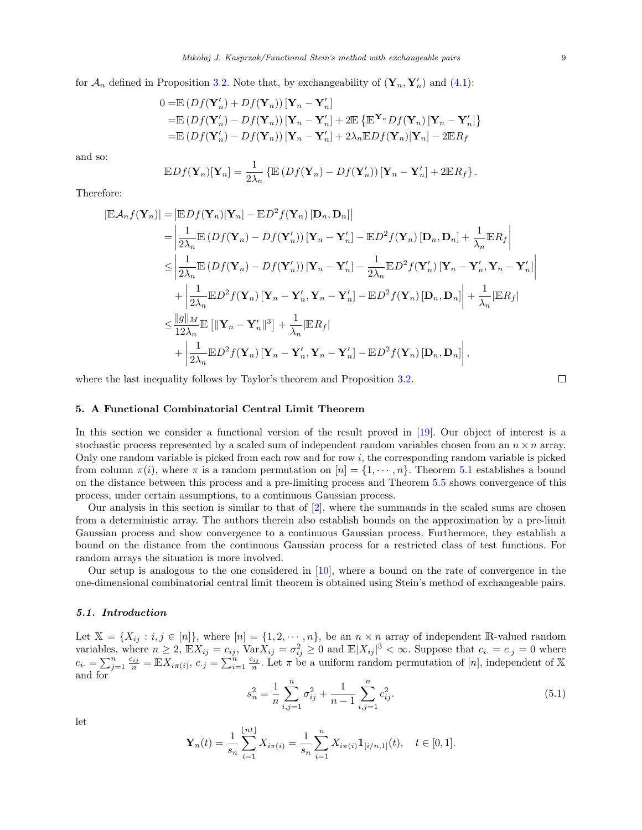for  $\mathcal{A}_n$  defined in Proposition [3.2.](#page-6-2) Note that, by exchangeability of  $(\mathbf{Y}_n, \mathbf{Y}'_n)$  and  $(4.1)$ :

$$
0 = \mathbb{E} (Df(\mathbf{Y}'_n) + Df(\mathbf{Y}_n)) [\mathbf{Y}_n - \mathbf{Y}'_n]
$$
  
=  $\mathbb{E} (Df(\mathbf{Y}'_n) - Df(\mathbf{Y}_n)) [\mathbf{Y}_n - \mathbf{Y}'_n] + 2 \mathbb{E} {\mathbf{E}^{\mathbf{Y}_n} Df(\mathbf{Y}_n) [\mathbf{Y}_n - \mathbf{Y}'_n]}$   
=  $\mathbb{E} (Df(\mathbf{Y}'_n) - Df(\mathbf{Y}_n)) [\mathbf{Y}_n - \mathbf{Y}'_n] + 2\lambda_n \mathbb{E} Df(\mathbf{Y}_n) [\mathbf{Y}_n] - 2 \mathbb{E} R_f$ 

and so:

$$
\mathbb{E}Df(\mathbf{Y}_n)[\mathbf{Y}_n] = \frac{1}{2\lambda_n} \left\{ \mathbb{E} \left( Df(\mathbf{Y}_n) - Df(\mathbf{Y}'_n) \right) [\mathbf{Y}_n - \mathbf{Y}'_n] + 2\mathbb{E}R_f \right\}.
$$

Therefore:

$$
|\mathbb{E}A_nf(\mathbf{Y}_n)| = |\mathbb{E}Df(\mathbf{Y}_n)[\mathbf{Y}_n] - \mathbb{E}D^2f(\mathbf{Y}_n)[\mathbf{D}_n, \mathbf{D}_n]|
$$
  
\n
$$
= \left| \frac{1}{2\lambda_n} \mathbb{E} \left( Df(\mathbf{Y}_n) - Df(\mathbf{Y}'_n) \right) [\mathbf{Y}_n - \mathbf{Y}'_n] - \mathbb{E}D^2f(\mathbf{Y}_n)[\mathbf{D}_n, \mathbf{D}_n] + \frac{1}{\lambda_n} \mathbb{E}R_f \right|
$$
  
\n
$$
\leq \left| \frac{1}{2\lambda_n} \mathbb{E} \left( Df(\mathbf{Y}_n) - Df(\mathbf{Y}'_n) \right) [\mathbf{Y}_n - \mathbf{Y}'_n] - \frac{1}{2\lambda_n} \mathbb{E}D^2f(\mathbf{Y}'_n) [\mathbf{Y}_n - \mathbf{Y}'_n, \mathbf{Y}_n - \mathbf{Y}'_n] \right|
$$
  
\n
$$
+ \left| \frac{1}{2\lambda_n} \mathbb{E}D^2f(\mathbf{Y}_n) [\mathbf{Y}_n - \mathbf{Y}'_n, \mathbf{Y}_n - \mathbf{Y}'_n] - \mathbb{E}D^2f(\mathbf{Y}_n)[\mathbf{D}_n, \mathbf{D}_n] \right| + \frac{1}{\lambda_n} |\mathbb{E}R_f|
$$
  
\n
$$
\leq \frac{||g||_M}{12\lambda_n} \mathbb{E} \left[ ||\mathbf{Y}_n - \mathbf{Y}'_n||^3 \right] + \frac{1}{\lambda_n} |\mathbb{E}R_f|
$$
  
\n
$$
+ \left| \frac{1}{2\lambda_n} \mathbb{E}D^2f(\mathbf{Y}_n) [\mathbf{Y}_n - \mathbf{Y}'_n, \mathbf{Y}_n - \mathbf{Y}'_n] - \mathbb{E}D^2f(\mathbf{Y}_n)[\mathbf{D}_n, \mathbf{D}_n] \right|,
$$

where the last inequality follows by Taylor's theorem and Proposition [3.2.](#page-6-2)

$$
\Box
$$

#### <span id="page-8-0"></span>5. A Functional Combinatorial Central Limit Theorem

In this section we consider a functional version of the result proved in [\[19\]](#page-21-5). Our object of interest is a stochastic process represented by a scaled sum of independent random variables chosen from an  $n \times n$  array. Only one random variable is picked from each row and for row  $i$ , the corresponding random variable is picked from column  $\pi(i)$ , where  $\pi$  is a random permutation on  $[n] = \{1, \dots, n\}$ . Theorem [5.1](#page-10-0) establishes a bound on the distance between this process and a pre-limiting process and Theorem [5.5](#page-14-0) shows convergence of this process, under certain assumptions, to a continuous Gaussian process.

Our analysis in this section is similar to that of  $[2]$ , where the summands in the scaled sums are chosen from a deterministic array. The authors therein also establish bounds on the approximation by a pre-limit Gaussian process and show convergence to a continuous Gaussian process. Furthermore, they establish a bound on the distance from the continuous Gaussian process for a restricted class of test functions. For random arrays the situation is more involved.

Our setup is analogous to the one considered in [\[10\]](#page-21-6), where a bound on the rate of convergence in the one-dimensional combinatorial central limit theorem is obtained using Stein's method of exchangeable pairs.

#### <span id="page-8-1"></span>5.1. Introduction

Let  $X = \{X_{ij} : i, j \in [n]\},\$  where  $[n] = \{1, 2, \dots, n\},\$  be an  $n \times n$  array of independent R-valued random variables, where  $n \ge 2$ ,  $\mathbb{E} X_{ij} = c_{ij}$ ,  $\text{Var}[X_{ij}] = \sigma_{ij}^2 \ge 0$  and  $\mathbb{E}|X_{ij}|^3 < \infty$ . Suppose that  $c_i = c_{ij} = 0$  where  $c_i = \sum_{j=1}^n \frac{c_{ij}}{n} = \mathbb{E} X_{i\pi(i)}, c_j = \sum_{i=1}^n \frac{c_{ij}}{n}$ . Let  $\pi$  be a uniform random permutation of [n], independent of X and for

<span id="page-8-2"></span>
$$
s_n^2 = \frac{1}{n} \sum_{i,j=1}^n \sigma_{ij}^2 + \frac{1}{n-1} \sum_{i,j=1}^n c_{ij}^2.
$$
 (5.1)

let

$$
\mathbf{Y}_n(t) = \frac{1}{s_n} \sum_{i=1}^{\lfloor nt \rfloor} X_{i\pi(i)} = \frac{1}{s_n} \sum_{i=1}^n X_{i\pi(i)} \mathbb{1}_{[i/n,1]}(t), \quad t \in [0,1].
$$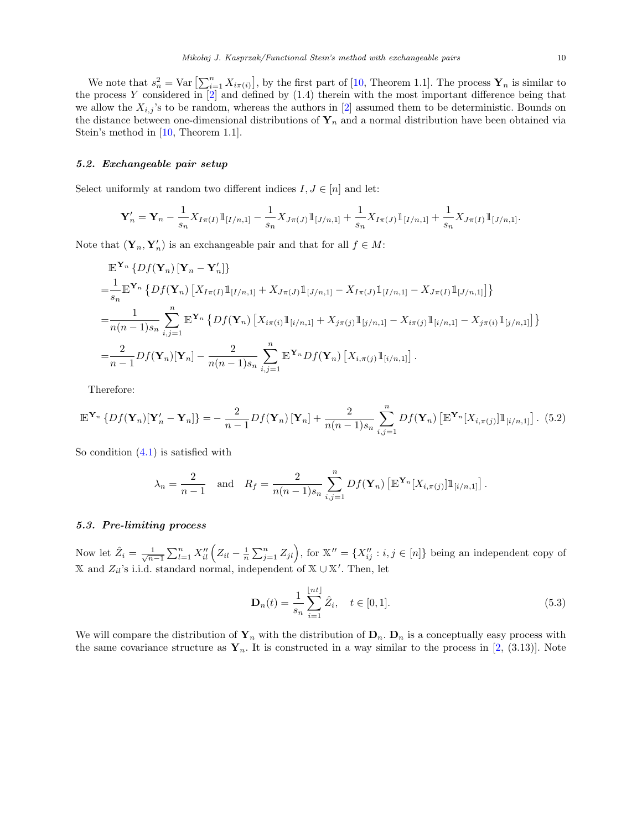We note that  $s_n^2 = \text{Var}\left[\sum_{i=1}^n X_{i\pi(i)}\right]$ , by the first part of [\[10,](#page-21-6) Theorem 1.1]. The process  $\mathbf{Y}_n$  is similar to the process Y considered in  $[2]$  and defined by  $(1.4)$  therein with the most important difference being that we allow the  $X_{i,j}$ 's to be random, whereas the authors in [\[2\]](#page-20-1) assumed them to be deterministic. Bounds on the distance between one-dimensional distributions of  $Y_n$  and a normal distribution have been obtained via Stein's method in [\[10,](#page-21-6) Theorem 1.1].

#### <span id="page-9-2"></span>5.2. Exchangeable pair setup

Select uniformly at random two different indices  $I, J \in [n]$  and let:

$$
\mathbf{Y}'_n = \mathbf{Y}_n - \frac{1}{s_n} X_{I\pi(I)} \mathbb{1}_{[I/n,1]} - \frac{1}{s_n} X_{J\pi(J)} \mathbb{1}_{[J/n,1]} + \frac{1}{s_n} X_{I\pi(J)} \mathbb{1}_{[I/n,1]} + \frac{1}{s_n} X_{J\pi(I)} \mathbb{1}_{[J/n,1]}.
$$

Note that  $(\mathbf{Y}_n, \mathbf{Y}'_n)$  is an exchangeable pair and that for all  $f \in M$ :

$$
\mathbb{E}^{\mathbf{Y}_{n}}\left\{Df(\mathbf{Y}_{n})\left[\mathbf{Y}_{n}-\mathbf{Y}_{n}'\right]\right\}
$$
\n
$$
=\frac{1}{s_{n}}\mathbb{E}^{\mathbf{Y}_{n}}\left\{Df(\mathbf{Y}_{n})\left[X_{I\pi(I)}\mathbb{1}_{[I/n,1]}+X_{J\pi(J)}\mathbb{1}_{[J/n,1]}-X_{I\pi(J)}\mathbb{1}_{[I/n,1]}-X_{J\pi(I)}\mathbb{1}_{[J/n,1]}\right]\right\}
$$
\n
$$
=\frac{1}{n(n-1)s_{n}}\sum_{i,j=1}^{n}\mathbb{E}^{\mathbf{Y}_{n}}\left\{Df(\mathbf{Y}_{n})\left[X_{i\pi(i)}\mathbb{1}_{[i/n,1]}+X_{j\pi(j)}\mathbb{1}_{[j/n,1]}-X_{i\pi(j)}\mathbb{1}_{[i/n,1]}-X_{j\pi(i)}\mathbb{1}_{[j/n,1]}\right]\right\}
$$
\n
$$
=\frac{2}{n-1}Df(\mathbf{Y}_{n})[\mathbf{Y}_{n}]-\frac{2}{n(n-1)s_{n}}\sum_{i,j=1}^{n}\mathbb{E}^{\mathbf{Y}_{n}}Df(\mathbf{Y}_{n})\left[X_{i,\pi(j)}\mathbb{1}_{[i/n,1]}\right].
$$

Therefore:

$$
\mathbb{E}^{\mathbf{Y}_n} \left\{ Df(\mathbf{Y}_n) [\mathbf{Y}_n' - \mathbf{Y}_n] \right\} = -\frac{2}{n-1} Df(\mathbf{Y}_n) [\mathbf{Y}_n] + \frac{2}{n(n-1)s_n} \sum_{i,j=1}^n Df(\mathbf{Y}_n) \left[ \mathbb{E}^{\mathbf{Y}_n} [X_{i,\pi(j)}] \mathbb{1}_{[i/n,1]} \right]. \tag{5.2}
$$

So condition  $(4.1)$  is satisfied with

$$
\lambda_n = \frac{2}{n-1}
$$
 and  $R_f = \frac{2}{n(n-1)s_n} \sum_{i,j=1}^n Df(\mathbf{Y}_n) [\mathbb{E}^{\mathbf{Y}_n}[X_{i,\pi(j)}]\mathbb{1}_{[i/n,1]}].$ 

#### <span id="page-9-0"></span>5.3. Pre-limiting process

Now let  $\hat{Z}_i = \frac{1}{\sqrt{n}}$  $\frac{1}{n-1}\sum_{l=1}^n X_{il}''\left(Z_{il}-\frac{1}{n}\sum_{j=1}^n Z_{jl}\right)$ , for  $\mathbb{X}''=\{X_{ij}'':i,j\in[n]\}$  being an independent copy of  $X$  and  $Z_{il}$ 's i.i.d. standard normal, independent of  $X \cup X'$ . Then, let

<span id="page-9-3"></span><span id="page-9-1"></span>
$$
\mathbf{D}_n(t) = \frac{1}{s_n} \sum_{i=1}^{\lfloor nt \rfloor} \hat{Z}_i, \quad t \in [0, 1].
$$
\n(5.3)

We will compare the distribution of  $Y_n$  with the distribution of  $D_n$ .  $D_n$  is a conceptually easy process with the same covariance structure as  $Y_n$ . It is constructed in a way similar to the process in [\[2,](#page-20-1) (3.13)]. Note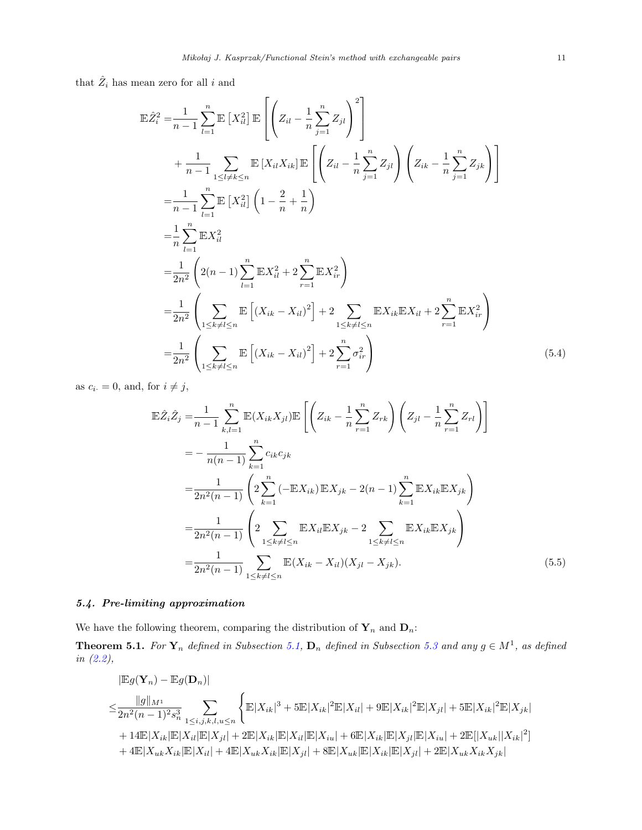that  $\hat{Z}_i$  has mean zero for all i and

$$
\mathbb{E}\hat{Z}_{i}^{2} = \frac{1}{n-1} \sum_{l=1}^{n} \mathbb{E}\left[X_{il}^{2}\right] \mathbb{E}\left[\left(Z_{il} - \frac{1}{n} \sum_{j=1}^{n} Z_{jl}\right)^{2}\right] \n+ \frac{1}{n-1} \sum_{1 \leq l \neq k \leq n} \mathbb{E}\left[X_{il} X_{ik}\right] \mathbb{E}\left[\left(Z_{il} - \frac{1}{n} \sum_{j=1}^{n} Z_{jl}\right)\left(Z_{ik} - \frac{1}{n} \sum_{j=1}^{n} Z_{jk}\right)\right] \n= \frac{1}{n-1} \sum_{l=1}^{n} \mathbb{E}\left[X_{il}^{2}\right] \left(1 - \frac{2}{n} + \frac{1}{n}\right) \n= \frac{1}{n} \sum_{l=1}^{n} \mathbb{E}X_{il}^{2} \n= \frac{1}{2n^{2}} \left(2(n-1) \sum_{l=1}^{n} \mathbb{E}X_{il}^{2} + 2 \sum_{r=1}^{n} \mathbb{E}X_{ir}^{2}\right) \n= \frac{1}{2n^{2}} \left(\sum_{1 \leq k \neq l \leq n} \mathbb{E}\left[\left(X_{ik} - X_{il}\right)^{2}\right] + 2 \sum_{1 \leq k \neq l \leq n} \mathbb{E}X_{ik} \mathbb{E}X_{il} + 2 \sum_{r=1}^{n} \mathbb{E}X_{ir}^{2}\right) \n= \frac{1}{2n^{2}} \left(\sum_{1 \leq k \neq l \leq n} \mathbb{E}\left[\left(X_{ik} - X_{il}\right)^{2}\right] + 2 \sum_{r=1}^{n} \sigma_{ir}^{2}\right)
$$
\n(5.4)

as  $c_i = 0$ , and, for  $i \neq j$ ,

<span id="page-10-2"></span><span id="page-10-1"></span>
$$
\mathbb{E}\hat{Z}_{i}\hat{Z}_{j} = \frac{1}{n-1} \sum_{k,l=1}^{n} \mathbb{E}(X_{ik}X_{jl})\mathbb{E}\left[\left(Z_{ik} - \frac{1}{n}\sum_{r=1}^{n} Z_{rk}\right)\left(Z_{jl} - \frac{1}{n}\sum_{r=1}^{n} Z_{rl}\right)\right]
$$
  
\n
$$
= -\frac{1}{n(n-1)} \sum_{k=1}^{n} c_{ik}c_{jk}
$$
  
\n
$$
= \frac{1}{2n^{2}(n-1)} \left(2\sum_{k=1}^{n} (-\mathbb{E}X_{ik})\mathbb{E}X_{jk} - 2(n-1)\sum_{k=1}^{n} \mathbb{E}X_{ik}\mathbb{E}X_{jk}\right)
$$
  
\n
$$
= \frac{1}{2n^{2}(n-1)} \left(2\sum_{1 \le k \ne l \le n} \mathbb{E}X_{il}\mathbb{E}X_{jk} - 2\sum_{1 \le k \ne l \le n} \mathbb{E}X_{ik}\mathbb{E}X_{jk}\right)
$$
  
\n
$$
= \frac{1}{2n^{2}(n-1)} \sum_{1 \le k \ne l \le n} \mathbb{E}(X_{ik} - X_{il})(X_{jl} - X_{jk}). \tag{5.5}
$$

## 5.4. Pre-limiting approximation

We have the following theorem, comparing the distribution of  $\mathbf{Y}_n$  and  $\mathbf{D}_n$ :

<span id="page-10-0"></span>**Theorem 5.1.** For  $Y_n$  defined in Subsection [5.1,](#page-8-1)  $D_n$  defined in Subsection [5.3](#page-9-0) and any  $g \in M^1$ , as defined in [\(2.2\)](#page-4-1),

$$
|\mathbb{E}g(\mathbf{Y}_n) - \mathbb{E}g(\mathbf{D}_n)|
$$
  
\n
$$
\leq \frac{||g||_{M^1}}{2n^2(n-1)^2s_n^3} \sum_{1 \leq i,j,k,l,u \leq n} \left\{ \mathbb{E}|X_{ik}|^3 + 5 \mathbb{E}|X_{ik}|^2 \mathbb{E}|X_{il}| + 9 \mathbb{E}|X_{ik}|^2 \mathbb{E}|X_{jl}| + 5 \mathbb{E}|X_{ik}|^2 \mathbb{E}|X_{jk}| + 14 \mathbb{E}|X_{ik}|\mathbb{E}|X_{il}|\mathbb{E}|X_{il}| + 2 \mathbb{E}|X_{ik}|\mathbb{E}|X_{il}|\mathbb{E}|X_{il}| + 6 \mathbb{E}|X_{ik}|\mathbb{E}|X_{jl}|\mathbb{E}|X_{iu}| + 2 \mathbb{E}|X_{uk}||X_{ik}|^2 + 4 \mathbb{E}|X_{uk}X_{ik}|\mathbb{E}|X_{il}| + 4 \mathbb{E}|X_{uk}X_{ik}|\mathbb{E}|X_{jl}| + 8 \mathbb{E}|X_{uk}|\mathbb{E}|X_{ik}|\mathbb{E}|X_{jl}| + 2 \mathbb{E}|X_{uk}X_{ik}X_{jk}|
$$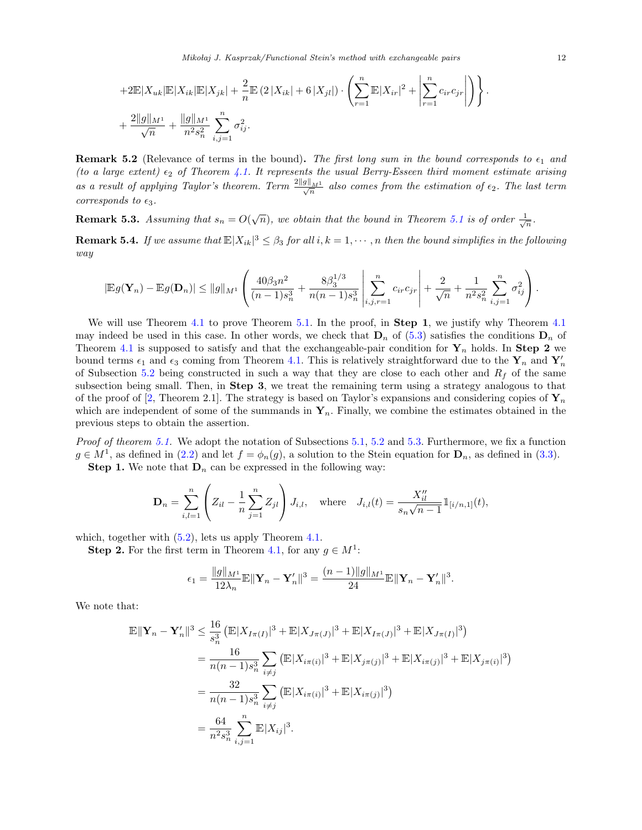$$
+2\mathbb{E}|X_{uk}|\mathbb{E}|X_{ik}|\mathbb{E}|X_{jk}| + \frac{2}{n}\mathbb{E}(2|X_{ik}| + 6|X_{jl}|) \cdot \left(\sum_{r=1}^n \mathbb{E}|X_{ir}|^2 + \left|\sum_{r=1}^n c_{ir}c_{jr}\right|\right)\right\}.
$$
  
+ 
$$
\frac{2||g||_{M^1}}{\sqrt{n}} + \frac{||g||_{M^1}}{n^2s_n^2} \sum_{i,j=1}^n \sigma_{ij}^2.
$$

**Remark 5.2** (Relevance of terms in the bound). The first long sum in the bound corresponds to  $\epsilon_1$  and (to a large extent)  $\epsilon_2$  of Theorem [4.1.](#page-7-0) It represents the usual Berry-Esseen third moment estimate arising as a result of applying Taylor's theorem. Term  $\frac{2\|g\|_{M^1}}{\sqrt{n}}$  also comes from the estimation of  $\epsilon_2$ . The last term corresponds to  $\epsilon_3$ .

**Remark 5.3.** Assuming that  $s_n = O(\sqrt{n})$ , we obtain that the bound in Theorem [5.1](#page-10-0) is of order  $\frac{1}{\sqrt{n}}$ .

**Remark 5.4.** If we assume that  $\mathbb{E}|X_{ik}|^3 \leq \beta_3$  for all  $i,k=1,\cdots,n$  then the bound simplifies in the following way

$$
|\mathbb{E}g(\mathbf{Y}_n)-\mathbb{E}g(\mathbf{D}_n)| \leq ||g||_{M^1} \left( \frac{40\beta_3 n^2}{(n-1)s_n^3} + \frac{8\beta_3^{1/3}}{n(n-1)s_n^3} \left| \sum_{i,j,r=1}^n c_{ir} c_{jr} \right| + \frac{2}{\sqrt{n}} + \frac{1}{n^2 s_n^2} \sum_{i,j=1}^n \sigma_{ij}^2 \right).
$$

We will use Theorem [4.1](#page-7-0) to prove Theorem [5.1.](#page-10-0) In the proof, in Step 1, we justify why Theorem 4.1 may indeed be used in this case. In other words, we check that  $D_n$  of [\(5.3\)](#page-9-1) satisfies the conditions  $D_n$  of Theorem [4.1](#page-7-0) is supposed to satisfy and that the exchangeable-pair condition for  $Y_n$  holds. In Step 2 we bound terms  $\epsilon_1$  and  $\epsilon_3$  coming from Theorem [4.1.](#page-7-0) This is relatively straightforward due to the  $Y_n$  and  $Y'_n$ of Subsection [5.2](#page-9-2) being constructed in such a way that they are close to each other and  $R_f$  of the same subsection being small. Then, in Step 3, we treat the remaining term using a strategy analogous to that of the proof of [\[2,](#page-20-1) Theorem 2.1]. The strategy is based on Taylor's expansions and considering copies of  $Y_n$ which are independent of some of the summands in  $Y_n$ . Finally, we combine the estimates obtained in the previous steps to obtain the assertion.

Proof of theorem [5.1.](#page-10-0) We adopt the notation of Subsections [5.1,](#page-8-1) [5.2](#page-9-2) and [5.3.](#page-9-0) Furthermore, we fix a function  $g \in M<sup>1</sup>$ , as defined in [\(2.2\)](#page-4-1) and let  $f = \phi_n(g)$ , a solution to the Stein equation for  $\mathbf{D}_n$ , as defined in [\(3.3\)](#page-6-1). **Step 1.** We note that  $D_n$  can be expressed in the following way:

$$
\mathbf{D}_n = \sum_{i,l=1}^n \left( Z_{il} - \frac{1}{n} \sum_{j=1}^n Z_{jl} \right) J_{i,l}, \text{ where } J_{i,l}(t) = \frac{X''_{il}}{s_n \sqrt{n-1}} 1\!\!1_{[i/n,1]}(t),
$$

which, together with  $(5.2)$ , lets us apply Theorem [4.1.](#page-7-0)

**Step 2.** For the first term in Theorem [4.1,](#page-7-0) for any  $g \in M^1$ :

$$
\epsilon_1 = \frac{\|g\|_{M^1}}{12\lambda_n} \mathbb{E} \|\mathbf{Y}_n - \mathbf{Y}_n'\|^3 = \frac{(n-1)\|g\|_{M^1}}{24} \mathbb{E} \|\mathbf{Y}_n - \mathbf{Y}_n'\|^3.
$$

We note that:

$$
\mathbb{E}||\mathbf{Y}_n - \mathbf{Y}_n'||^3 \le \frac{16}{s_n^3} \left( \mathbb{E}|X_{I\pi(I)}|^3 + \mathbb{E}|X_{J\pi(J)}|^3 + \mathbb{E}|X_{I\pi(J)}|^3 + \mathbb{E}|X_{J\pi(I)}|^3 \right)
$$
  
\n
$$
= \frac{16}{n(n-1)s_n^3} \sum_{i \ne j} \left( \mathbb{E}|X_{i\pi(i)}|^3 + \mathbb{E}|X_{j\pi(j)}|^3 + \mathbb{E}|X_{i\pi(j)}|^3 + \mathbb{E}|X_{j\pi(i)}|^3 \right)
$$
  
\n
$$
= \frac{32}{n(n-1)s_n^3} \sum_{i \ne j} \left( \mathbb{E}|X_{i\pi(i)}|^3 + \mathbb{E}|X_{i\pi(j)}|^3 \right)
$$
  
\n
$$
= \frac{64}{n^2 s_n^3} \sum_{i,j=1}^n \mathbb{E}|X_{ij}|^3.
$$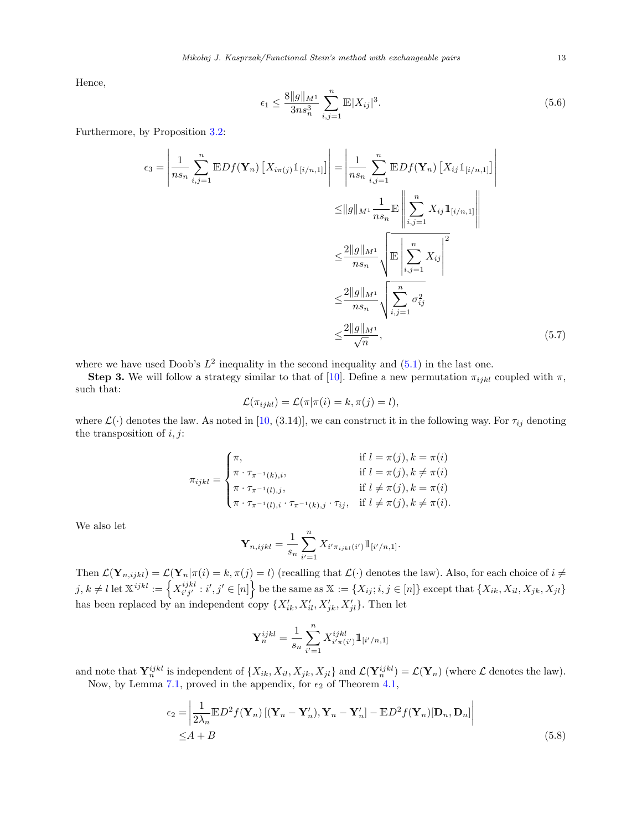Hence,

<span id="page-12-0"></span>
$$
\epsilon_1 \le \frac{8\|g\|_{M^1}}{3ns_n^3} \sum_{i,j=1}^n \mathbb{E}|X_{ij}|^3. \tag{5.6}
$$

Furthermore, by Proposition [3.2:](#page-6-2)

$$
\epsilon_3 = \left| \frac{1}{ns_n} \sum_{i,j=1}^n \mathbb{E}Df(\mathbf{Y}_n) \left[ X_{i\pi(j)} \mathbb{1}_{[i/n,1]} \right] \right| = \left| \frac{1}{ns_n} \sum_{i,j=1}^n \mathbb{E}Df(\mathbf{Y}_n) \left[ X_{ij} \mathbb{1}_{[i/n,1]} \right] \right|
$$
  
\n
$$
\leq ||g||_{M^1} \frac{1}{ns_n} \mathbb{E} \left\| \sum_{i,j=1}^n X_{ij} \mathbb{1}_{[i/n,1]} \right\|
$$
  
\n
$$
\leq \frac{2||g||_{M^1}}{ns_n} \sqrt{\mathbb{E} \left| \sum_{i,j=1}^n X_{ij} \right|^2}
$$
  
\n
$$
\leq \frac{2||g||_{M^1}}{ns_n} \sqrt{\sum_{i,j=1}^n \sigma_{ij}^2}
$$
  
\n
$$
\leq \frac{2||g||_{M^1}}{\sqrt{n}}, \qquad (5.7)
$$

where we have used Doob's  $L^2$  inequality in the second inequality and  $(5.1)$  in the last one.

Step 3. We will follow a strategy similar to that of [\[10\]](#page-21-6). Define a new permutation  $\pi_{ijkl}$  coupled with  $\pi$ , such that:

<span id="page-12-1"></span>
$$
\mathcal{L}(\pi_{ijkl}) = \mathcal{L}(\pi|\pi(i) = k, \pi(j) = l),
$$

where  $\mathcal{L}(\cdot)$  denotes the law. As noted in [\[10,](#page-21-6) (3.14)], we can construct it in the following way. For  $\tau_{ij}$  denoting the transposition of  $i, j$ :

$$
\pi_{ijkl} = \begin{cases}\n\pi, & \text{if } l = \pi(j), k = \pi(i) \\
\pi \cdot \tau_{\pi^{-1}(k),i}, & \text{if } l = \pi(j), k \neq \pi(i) \\
\pi \cdot \tau_{\pi^{-1}(l),j}, & \text{if } l \neq \pi(j), k = \pi(i) \\
\pi \cdot \tau_{\pi^{-1}(l),i} \cdot \tau_{\pi^{-1}(k),j} \cdot \tau_{ij}, & \text{if } l \neq \pi(j), k \neq \pi(i).\n\end{cases}
$$

We also let

$$
\mathbf{Y}_{n,ijkl} = \frac{1}{s_n} \sum_{i'=1}^n X_{i'\pi_{ijkl}(i')} \mathbb{1}_{[i'/n,1]}.
$$

Then  $\mathcal{L}(\mathbf{Y}_{n,ijkl}) = \mathcal{L}(\mathbf{Y}_n|\pi(i) = k, \pi(j) = l)$  (recalling that  $\mathcal{L}(\cdot)$  denotes the law). Also, for each choice of  $i \neq$  $j,k\neq l$  let  $\mathbb{X}^{ijkl}:=\left\{X_{i'j'}^{ijkl}:i',j'\in[n]\right\}$  be the same as  $\mathbb{X}:=\left\{X_{ij};i,j\in[n]\right\}$  except that  $\left\{X_{ik},X_{il},X_{jk},X_{jl}\right\}$ has been replaced by an independent copy  $\{X'_{ik}, X'_{il}, X'_{jk}, X'_{jl}\}$ . Then let

<span id="page-12-2"></span>
$$
\mathbf{Y}_n^{ijkl} = \frac{1}{s_n} \sum_{i'=1}^n X_{i'\pi(i')}^{ijkl} \mathbb{I}_{[i'/n,1]}
$$

and note that  $\mathbf{Y}_n^{ijkl}$  is independent of  $\{X_{ik}, X_{il}, X_{jk}, X_{jl}\}$  and  $\mathcal{L}(\mathbf{Y}_n^{ijkl}) = \mathcal{L}(\mathbf{Y}_n)$  (where  $\mathcal L$  denotes the law). Now, by Lemma [7.1,](#page-22-3) proved in the appendix, for  $\epsilon_2$  of Theorem [4.1,](#page-7-0)

$$
\epsilon_2 = \left| \frac{1}{2\lambda_n} \mathbb{E} D^2 f(\mathbf{Y}_n) \left[ (\mathbf{Y}_n - \mathbf{Y}'_n), \mathbf{Y}_n - \mathbf{Y}'_n \right] - \mathbb{E} D^2 f(\mathbf{Y}_n) [\mathbf{D}_n, \mathbf{D}_n] \right|
$$
  
 
$$
\leq A + B \tag{5.8}
$$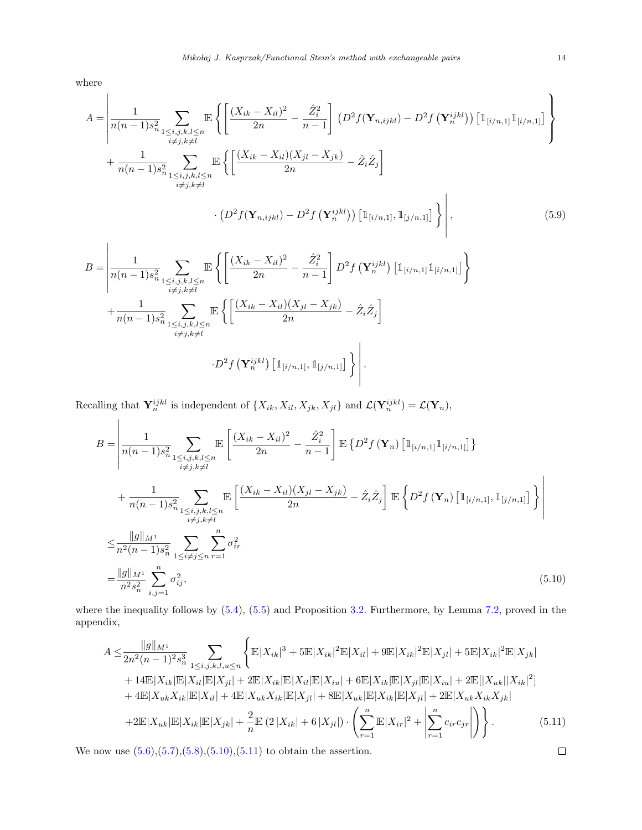where

$$
A = \left| \frac{1}{n(n-1)s_n^2} \sum_{\substack{1 \le i,j,k,l \le n \\ i \ne j,k \ne l}} \mathbb{E} \left\{ \left[ \frac{(X_{ik} - X_{il})^2}{2n} - \frac{\hat{Z}_i^2}{n-1} \right] \left( D^2 f(\mathbf{Y}_{n,ijkl}) - D^2 f(\mathbf{Y}_n^{ijkl}) \right) \left[ \mathbb{1}_{[i/n,1]} \mathbb{1}_{[i/n,1]} \right] \right\} + \frac{1}{n(n-1)s_n^2} \sum_{\substack{1 \le i,j,k,l \le n \\ i \ne j,k \ne l}} \mathbb{E} \left\{ \left[ \frac{(X_{ik} - X_{il})(X_{jl} - X_{jk})}{2n} - \hat{Z}_i \hat{Z}_j \right] \right. \\ \left. \cdot \left( D^2 f(\mathbf{Y}_{n,ijkl}) - D^2 f(\mathbf{Y}_n^{ijkl}) \right) \left[ \mathbb{1}_{[i/n,1]}, \mathbb{1}_{[j/n,1]} \right] \right\} \right|, \tag{5.9}
$$

<span id="page-13-2"></span>
$$
B = \left| \frac{1}{n(n-1)s_n^2} \sum_{\substack{1 \le i,j,k,l \le n \\ i \ne j,k \ne l}} \mathbb{E} \left\{ \left[ \frac{(X_{ik} - X_{il})^2}{2n} - \frac{\hat{Z}_i^2}{n-1} \right] D^2 f \left( \mathbf{Y}_n^{ijkl} \right) \left[ \mathbb{1}_{[i/n,1]} \mathbb{1}_{[i/n,1]} \right] \right\} + \frac{1}{n(n-1)s_n^2} \sum_{\substack{1 \le i,j,k,l \le n \\ i \ne j,k \ne l}} \mathbb{E} \left\{ \left[ \frac{(X_{ik} - X_{il})(X_{jl} - X_{jk})}{2n} - \hat{Z}_i \hat{Z}_j \right] \right. \\ \left. \cdot D^2 f \left( \mathbf{Y}_n^{ijkl} \right) \left[ \mathbb{1}_{[i/n,1]}, \mathbb{1}_{[j/n,1]} \right] \right\} \right|.
$$

Recalling that  $\mathbf{Y}_n^{ijkl}$  is independent of  $\{X_{ik}, X_{il}, X_{jk}, X_{jl}\}$  and  $\mathcal{L}(\mathbf{Y}_n^{ijkl}) = \mathcal{L}(\mathbf{Y}_n)$ ,

$$
B = \left| \frac{1}{n(n-1)s_n^2} \sum_{\substack{1 \le i,j,k,l \le n \\ i \ne j,k \ne l}} \mathbb{E} \left[ \frac{(X_{ik} - X_{il})^2}{2n} - \frac{\hat{Z}_i^2}{n-1} \right] \mathbb{E} \left\{ D^2 f(\mathbf{Y}_n) \left[ \mathbb{1}_{[i/n,1]} \mathbb{1}_{[i/n,1]} \right] \right\} + \frac{1}{n(n-1)s_n^2} \sum_{\substack{1 \le i,j,k,l \le n \\ i \ne j,k \ne l}} \mathbb{E} \left[ \frac{(X_{ik} - X_{il})(X_{jl} - X_{jk})}{2n} - \hat{Z}_i \hat{Z}_j \right] \mathbb{E} \left\{ D^2 f(\mathbf{Y}_n) \left[ \mathbb{1}_{[i/n,1]}, \mathbb{1}_{[j/n,1]} \right] \right\} \right]
$$
  

$$
\le \frac{\|g\|_{M^1}}{n^2(n-1)s_n^2} \sum_{\substack{1 \le i \ne j \le n \\ n \ge s_n^2}} \sum_{\substack{i,j,l \ge n \\ i,j,l \ne l}}^n \sigma_{ir}^2
$$
  

$$
= \frac{\|g\|_{M^1}}{n^2 s_n^2} \sum_{\substack{i,j,l \ge n \\ i,j,l \ne l}}^n \sigma_{ij}^2,
$$
 (5.10)

where the inequality follows by  $(5.4)$ ,  $(5.5)$  and Proposition [3.2.](#page-6-2) Furthermore, by Lemma [7.2,](#page-23-0) proved in the appendix,

<span id="page-13-1"></span><span id="page-13-0"></span>
$$
A \leq \frac{\|g\|_{M^1}}{2n^2(n-1)^2s_n^3} \sum_{1 \leq i,j,k,l,u \leq n} \left\{ \mathbb{E}|X_{ik}|^3 + 5 \mathbb{E}|X_{ik}|^2 \mathbb{E}|X_{il}| + 9 \mathbb{E}|X_{ik}|^2 \mathbb{E}|X_{jl}| + 5 \mathbb{E}|X_{ik}|^2 \mathbb{E}|X_{jk}| + 14 \mathbb{E}|X_{ik}|\mathbb{E}|X_{il}|\mathbb{E}|X_{il}| + 2 \mathbb{E}|X_{ik}|\mathbb{E}|X_{il}|\mathbb{E}|X_{il}| + 6 \mathbb{E}|X_{ik}|\mathbb{E}|X_{jl}|\mathbb{E}|X_{iu}| + 2 \mathbb{E}|X_{uk}||X_{ik}|^2 + 4 \mathbb{E}|X_{uk}X_{ik}|\mathbb{E}|X_{il}| + 4 \mathbb{E}|X_{uk}X_{ik}|\mathbb{E}|X_{jl}| + 8 \mathbb{E}|X_{uk}|\mathbb{E}|X_{ik}|\mathbb{E}|X_{jl}| + 2 \mathbb{E}|X_{uk}X_{ik}X_{jk}| + 2 \mathbb{E}|X_{uk}|\mathbb{E}|X_{ik}|\mathbb{E}|X_{ik}|\mathbb{E}|X_{ik}|\mathbb{E}|X_{jk}| + \frac{2}{n} \mathbb{E}(2|X_{ik}| + 6|X_{jl}|) \cdot \left(\sum_{r=1}^n \mathbb{E}|X_{ir}|^2 + \left|\sum_{r=1}^n c_{ir}c_{jr}\right|\right) \right\}.
$$
\n(5.11)  
\now use (5.6),(5.7),(5.8),(5.10),(5.11) to obtain the assertion.

We now use  $(5.6), (5.7), (5.8), (5.10), (5.11)$  $(5.6), (5.7), (5.8), (5.10), (5.11)$  $(5.6), (5.7), (5.8), (5.10), (5.11)$  $(5.6), (5.7), (5.8), (5.10), (5.11)$  $(5.6), (5.7), (5.8), (5.10), (5.11)$  $(5.6), (5.7), (5.8), (5.10), (5.11)$  $(5.6), (5.7), (5.8), (5.10), (5.11)$  $(5.6), (5.7), (5.8), (5.10), (5.11)$  $(5.6), (5.7), (5.8), (5.10), (5.11)$  to obtain the assertion.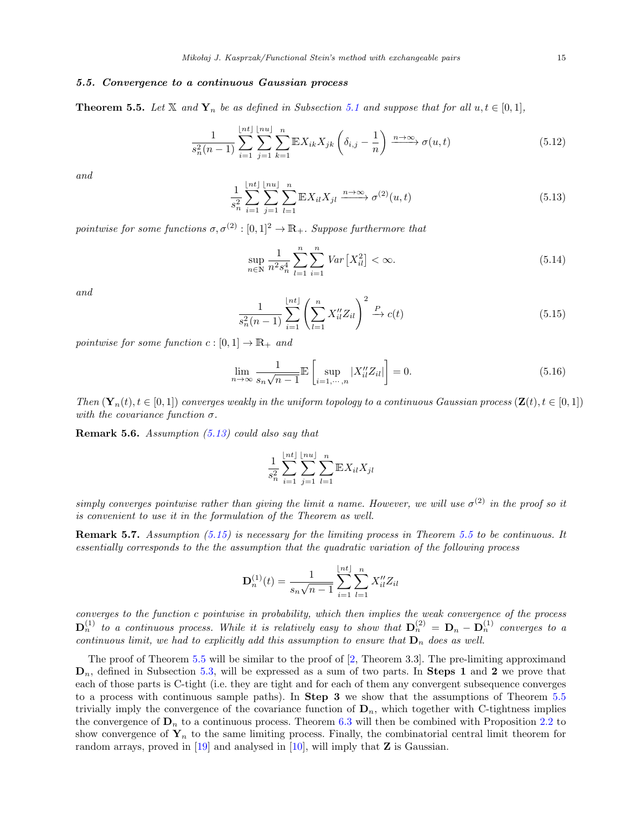#### 5.5. Convergence to a continuous Gaussian process

<span id="page-14-0"></span>**Theorem 5.5.** Let X and  $Y_n$  be as defined in Subsection [5.1](#page-8-1) and suppose that for all  $u, t \in [0, 1]$ ,

<span id="page-14-5"></span>
$$
\frac{1}{s_n^2(n-1)}\sum_{i=1}^{\lfloor nt \rfloor} \sum_{j=1}^{\lfloor nu \rfloor} \sum_{k=1}^n \mathbb{E}X_{ik}X_{jk}\left(\delta_{i,j}-\frac{1}{n}\right) \xrightarrow{n\to\infty} \sigma(u,t) \tag{5.12}
$$

and

<span id="page-14-1"></span>
$$
\frac{1}{s_n^2} \sum_{i=1}^{\lfloor nt \rfloor} \sum_{j=1}^{\lfloor nu \rfloor} \sum_{l=1}^n \mathbb{E} X_{il} X_{jl} \xrightarrow{n \to \infty} \sigma^{(2)}(u, t) \tag{5.13}
$$

pointwise for some functions  $\sigma, \sigma^{(2)} : [0, 1]^2 \to \mathbb{R}_+$ . Suppose furthermore that

<span id="page-14-4"></span>
$$
\sup_{n \in \mathbb{N}} \frac{1}{n^2 s_n^4} \sum_{l=1}^n \sum_{i=1}^n Var\left[X_{il}^2\right] < \infty. \tag{5.14}
$$

and

<span id="page-14-2"></span>
$$
\frac{1}{s_n^2(n-1)} \sum_{i=1}^{\lfloor nt \rfloor} \left( \sum_{l=1}^n X_{il}'' Z_{il} \right)^2 \xrightarrow{P} c(t) \tag{5.15}
$$

pointwise for some function  $c : [0,1] \to \mathbb{R}_+$  and

<span id="page-14-3"></span>
$$
\lim_{n \to \infty} \frac{1}{s_n \sqrt{n-1}} \mathbb{E}\left[\sup_{i=1,\cdots,n} |X''_i Z_{il}|\right] = 0. \tag{5.16}
$$

Then  $(\mathbf{Y}_n(t), t \in [0,1])$  converges weakly in the uniform topology to a continuous Gaussian process  $(\mathbf{Z}(t), t \in [0,1])$ with the covariance function  $\sigma$ .

Remark 5.6. Assumption [\(5.13\)](#page-14-1) could also say that

$$
\frac{1}{s_n^2} \sum_{i=1}^{\lfloor nt \rfloor} \sum_{j=1}^{\lfloor nu \rfloor} \sum_{l=1}^n \mathbb{E} X_{il} X_{jl}
$$

simply converges pointwise rather than giving the limit a name. However, we will use  $\sigma^{(2)}$  in the proof so it is convenient to use it in the formulation of the Theorem as well.

Remark 5.7. Assumption [\(5.15\)](#page-14-2) is necessary for the limiting process in Theorem [5.5](#page-14-0) to be continuous. It essentially corresponds to the the assumption that the quadratic variation of the following process

$$
\mathbf{D}_n^{(1)}(t) = \frac{1}{s_n \sqrt{n-1}} \sum_{i=1}^{\lfloor nt \rfloor} \sum_{l=1}^n X_{il}'' Z_{il}
$$

converges to the function c pointwise in probability, which then implies the weak convergence of the process  $\mathbf{D}_n^{(1)}$  to a continuous process. While it is relatively easy to show that  $\mathbf{D}_n^{(2)} = \mathbf{D}_n - \mathbf{D}_n^{(1)}$  converges to a continuous limit, we had to explicitly add this assumption to ensure that  $D_n$  does as well.

The proof of Theorem [5.5](#page-14-0) will be similar to the proof of [\[2,](#page-20-1) Theorem 3.3]. The pre-limiting approximand  $\mathbf{D}_n$ , defined in Subsection [5.3,](#page-9-0) will be expressed as a sum of two parts. In Steps 1 and 2 we prove that each of those parts is C-tight (i.e. they are tight and for each of them any convergent subsequence converges to a process with continuous sample paths). In Step 3 we show that the assumptions of Theorem [5.5](#page-14-0) trivially imply the convergence of the covariance function of  $\mathbf{D}_n$ , which together with C-tightness implies the convergence of  $\mathbf{D}_n$  to a continuous process. Theorem [6.3](#page-18-0) will then be combined with Proposition [2.2](#page-5-0) to show convergence of  $Y_n$  to the same limiting process. Finally, the combinatorial central limit theorem for random arrays, proved in [\[19\]](#page-21-5) and analysed in [\[10\]](#page-21-6), will imply that Z is Gaussian.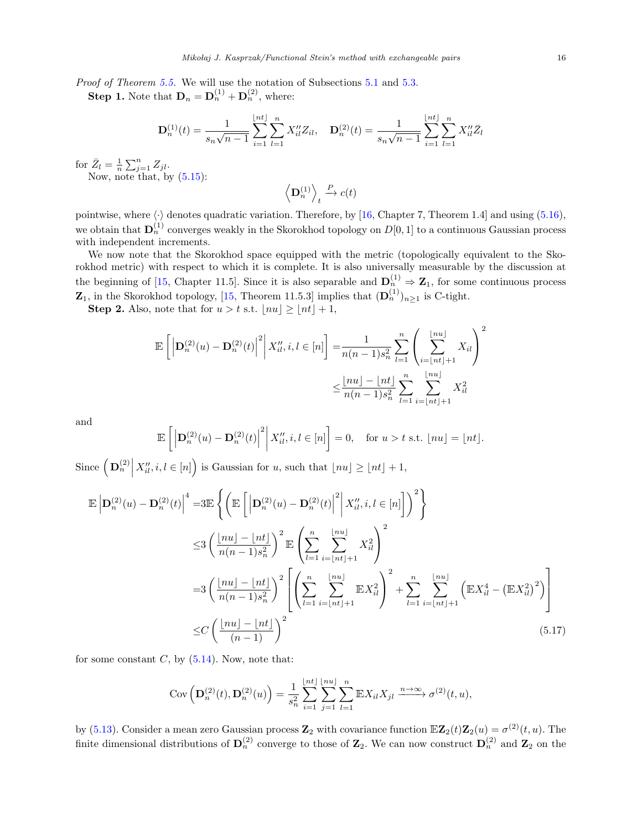Proof of Theorem [5.5.](#page-14-0) We will use the notation of Subsections [5.1](#page-8-1) and [5.3.](#page-9-0) **Step 1.** Note that  $\mathbf{D}_n = \mathbf{D}_n^{(1)} + \mathbf{D}_n^{(2)}$ , where:

$$
\mathbf{D}_n^{(1)}(t) = \frac{1}{s_n \sqrt{n-1}} \sum_{i=1}^{\lfloor nt \rfloor} \sum_{l=1}^n X_{il}'' Z_{il}, \quad \mathbf{D}_n^{(2)}(t) = \frac{1}{s_n \sqrt{n-1}} \sum_{i=1}^{\lfloor nt \rfloor} \sum_{l=1}^n X_{il}'' \bar{Z}_l
$$

for  $\bar{Z}_l = \frac{1}{n} \sum_{j=1}^n Z_{jl}$ .

Now, note that, by [\(5.15\)](#page-14-2):

$$
\left\langle \mathbf{D}_{n}^{(1)}\right\rangle _{t}\xrightarrow{P}c(t)
$$

pointwise, where  $\langle \cdot \rangle$  denotes quadratic variation. Therefore, by [\[16,](#page-21-25) Chapter 7, Theorem 1.4] and using [\(5.16\)](#page-14-3), we obtain that  $\mathbf{D}_n^{(1)}$  converges weakly in the Skorokhod topology on  $D[0,1]$  to a continuous Gaussian process with independent increments.

We now note that the Skorokhod space equipped with the metric (topologically equivalent to the Skorokhod metric) with respect to which it is complete. It is also universally measurable by the discussion at the beginning of [\[15,](#page-21-26) Chapter 11.5]. Since it is also separable and  $\mathbf{D}_n^{(1)} \Rightarrow \mathbf{Z}_1$ , for some continuous process  $\mathbf{Z}_1$ , in the Skorokhod topology, [\[15,](#page-21-26) Theorem 11.5.3] implies that  $(\mathbf{D}_n^{(1)})_{n\geq 1}$  is C-tight.

**Step 2.** Also, note that for  $u > t$  s.t.  $|nu| \geq |nt| + 1$ ,

$$
\mathbb{E}\left[\left|\mathbf{D}_{n}^{(2)}(u) - \mathbf{D}_{n}^{(2)}(t)\right|^{2}\middle|X_{il}'', i, l \in [n]\right] = \frac{1}{n(n-1)s_{n}^{2}}\sum_{l=1}^{n}\left(\sum_{i=\lfloor nt \rfloor+1}^{\lfloor nu \rfloor}X_{il}\right)^{2}
$$

$$
\leq \frac{\lfloor nu \rfloor - \lfloor nt \rfloor}{n(n-1)s_{n}^{2}}\sum_{l=1}^{n}\sum_{i=\lfloor nt \rfloor+1}^{\lfloor nu \rfloor}X_{il}^{2}
$$

and

$$
\mathbb{E}\left[\left|\mathbf{D}_{n}^{(2)}(u)-\mathbf{D}_{n}^{(2)}(t)\right|^{2}\right|X_{il}^{"},i,l\in[n]\right]=0,\quad \text{for }u>t\text{ s.t. } \lfloor nu\rfloor=\lfloor nt\rfloor.
$$

Since  $\left(\mathbf{D}_n^{(2)}\middle| X_{il}'' , i,l \in [n]\right)$  is Gaussian for u, such that  $\lfloor nu \rfloor \geq \lfloor nt \rfloor + 1$ ,

$$
\mathbb{E}\left|\mathbf{D}_{n}^{(2)}(u) - \mathbf{D}_{n}^{(2)}(t)\right|^{4} = 3\mathbb{E}\left\{\left(\mathbb{E}\left[\left|\mathbf{D}_{n}^{(2)}(u) - \mathbf{D}_{n}^{(2)}(t)\right|^{2}\right|X_{il}''; i, l \in [n]\right]\right)^{2}\right\}
$$
  
\n
$$
\leq 3\left(\frac{\lfloor nu \rfloor - \lfloor nt \rfloor}{n(n-1)s_{n}^{2}}\right)^{2}\mathbb{E}\left(\sum_{l=1}^{n} \sum_{i=\lfloor nt \rfloor+1}^{\lfloor nu \rfloor} X_{il}^{2}\right)^{2}
$$
  
\n
$$
= 3\left(\frac{\lfloor nu \rfloor - \lfloor nt \rfloor}{n(n-1)s_{n}^{2}}\right)^{2}\left[\left(\sum_{l=1}^{n} \sum_{i=\lfloor nt \rfloor+1}^{\lfloor nu \rfloor} \mathbb{E}X_{il}^{2}\right)^{2} + \sum_{l=1}^{n} \sum_{i=\lfloor nt \rfloor+1}^{\lfloor nu \rfloor} \left(\mathbb{E}X_{il}^{4} - \left(\mathbb{E}X_{il}^{2}\right)^{2}\right)\right]
$$
  
\n
$$
\leq C\left(\frac{\lfloor nu \rfloor - \lfloor nt \rfloor}{(n-1)}\right)^{2}
$$
(5.17)

for some constant  $C$ , by  $(5.14)$ . Now, note that:

<span id="page-15-0"></span>
$$
Cov\left(\mathbf{D}_n^{(2)}(t), \mathbf{D}_n^{(2)}(u)\right) = \frac{1}{s_n^2} \sum_{i=1}^{\lfloor nt \rfloor} \sum_{j=1}^{\lfloor nu \rfloor} \sum_{l=1}^n \mathbb{E} X_{il} X_{jl} \xrightarrow{n \to \infty} \sigma^{(2)}(t, u),
$$

by [\(5.13\)](#page-14-1). Consider a mean zero Gaussian process  $\mathbf{Z}_2$  with covariance function  $\mathbb{E}\mathbf{Z}_2(t)\mathbf{Z}_2(u) = \sigma^{(2)}(t, u)$ . The finite dimensional distributions of  $\mathbf{D}_n^{(2)}$  converge to those of  $\mathbf{Z}_2$ . We can now construct  $\mathbf{D}_n^{(2)}$  and  $\mathbf{Z}_2$  on the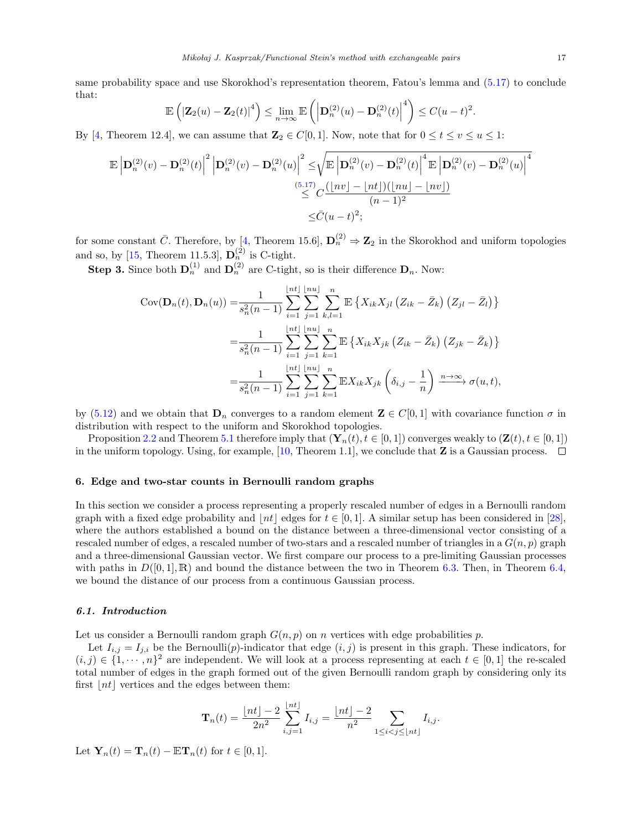same probability space and use Skorokhod's representation theorem, Fatou's lemma and [\(5.17\)](#page-15-0) to conclude that:

$$
\mathbb{E}\left(\left|\mathbf{Z}_{2}(u)-\mathbf{Z}_{2}(t)\right|^{4}\right) \leq \lim_{n\to\infty}\mathbb{E}\left(\left|\mathbf{D}_{n}^{(2)}(u)-\mathbf{D}_{n}^{(2)}(t)\right|^{4}\right) \leq C(u-t)^{2}.
$$

By [\[4,](#page-20-3) Theorem 12.4], we can assume that  $\mathbb{Z}_2 \in C[0,1]$ . Now, note that for  $0 \le t \le v \le u \le 1$ :

$$
\mathbb{E}\left|\mathbf{D}_{n}^{(2)}(v) - \mathbf{D}_{n}^{(2)}(t)\right|^{2}\left|\mathbf{D}_{n}^{(2)}(v) - \mathbf{D}_{n}^{(2)}(u)\right|^{2} \leq \sqrt{\mathbb{E}\left|\mathbf{D}_{n}^{(2)}(v) - \mathbf{D}_{n}^{(2)}(t)\right|^{4}\mathbb{E}\left|\mathbf{D}_{n}^{(2)}(v) - \mathbf{D}_{n}^{(2)}(u)\right|^{4}
$$
  

$$
\leq C\frac{(\lfloor nv \rfloor - \lfloor nt \rfloor)(\lfloor nu \rfloor - \lfloor nv \rfloor)}{(n-1)^{2}}
$$
  

$$
\leq \bar{C}(u-t)^{2};
$$

for some constant  $\bar{C}$ . Therefore, by [\[4,](#page-20-3) Theorem 15.6],  $\mathbf{D}_n^{(2)} \Rightarrow \mathbf{Z}_2$  in the Skorokhod and uniform topologies and so, by [\[15,](#page-21-26) Theorem 11.5.3],  $\mathbf{D}_n^{(2)}$  is C-tight.

**Step 3.** Since both  $\mathbf{D}_n^{(1)}$  and  $\mathbf{D}_n^{(2)}$  are C-tight, so is their difference  $\mathbf{D}_n$ . Now:

$$
Cov(\mathbf{D}_{n}(t), \mathbf{D}_{n}(u)) = \frac{1}{s_{n}^{2}(n-1)} \sum_{i=1}^{\lfloor nt \rfloor} \sum_{j=1}^{\lfloor nt \rfloor} \sum_{k,l=1}^{n} \mathbb{E} \left\{ X_{ik} X_{jl} \left( Z_{ik} - \bar{Z}_{k} \right) \left( Z_{jl} - \bar{Z}_{l} \right) \right\}
$$
  

$$
= \frac{1}{s_{n}^{2}(n-1)} \sum_{i=1}^{\lfloor nt \rfloor} \sum_{j=1}^{\lfloor nt \rfloor} \sum_{k=1}^{n} \mathbb{E} \left\{ X_{ik} X_{jk} \left( Z_{ik} - \bar{Z}_{k} \right) \left( Z_{jk} - \bar{Z}_{k} \right) \right\}
$$
  

$$
= \frac{1}{s_{n}^{2}(n-1)} \sum_{i=1}^{\lfloor nt \rfloor} \sum_{j=1}^{\lfloor nt \rfloor} \sum_{k=1}^{n} \mathbb{E} X_{ik} X_{jk} \left( \delta_{i,j} - \frac{1}{n} \right) \xrightarrow{n \to \infty} \sigma(u,t),
$$

by [\(5.12\)](#page-14-5) and we obtain that  $\mathbf{D}_n$  converges to a random element  $\mathbf{Z} \in C[0,1]$  with covariance function  $\sigma$  in distribution with respect to the uniform and Skorokhod topologies.

Proposition [2.2](#page-5-0) and Theorem [5.1](#page-10-0) therefore imply that  $(\mathbf{Y}_n(t), t \in [0,1])$  converges weakly to  $(\mathbf{Z}(t), t \in [0,1])$ in the uniform topology. Using, for example, [\[10,](#page-21-6) Theorem 1.1], we conclude that **Z** is a Gaussian process.  $\Box$ 

#### <span id="page-16-0"></span>6. Edge and two-star counts in Bernoulli random graphs

In this section we consider a process representing a properly rescaled number of edges in a Bernoulli random graph with a fixed edge probability and  $\vert nt \vert$  edges for  $t \in [0, 1]$ . A similar setup has been considered in [\[28\]](#page-21-11), where the authors established a bound on the distance between a three-dimensional vector consisting of a rescaled number of edges, a rescaled number of two-stars and a rescaled number of triangles in a  $G(n, p)$  graph and a three-dimensional Gaussian vector. We first compare our process to a pre-limiting Gaussian processes with paths in  $D([0,1], \mathbb{R})$  and bound the distance between the two in Theorem [6.3.](#page-18-0) Then, in Theorem [6.4,](#page-19-0) we bound the distance of our process from a continuous Gaussian process.

#### <span id="page-16-1"></span>6.1. Introduction

Let us consider a Bernoulli random graph  $G(n, p)$  on n vertices with edge probabilities p.

Let  $I_{i,j} = I_{j,i}$  be the Bernoulli(p)-indicator that edge  $(i, j)$  is present in this graph. These indicators, for  $(i, j) \in \{1, \dots, n\}^2$  are independent. We will look at a process representing at each  $t \in [0, 1]$  the re-scaled total number of edges in the graph formed out of the given Bernoulli random graph by considering only its first  $\vert nt \vert$  vertices and the edges between them:

$$
\mathbf{T}_n(t) = \frac{\lfloor nt \rfloor - 2}{2n^2} \sum_{i,j=1}^{\lfloor nt \rfloor} I_{i,j} = \frac{\lfloor nt \rfloor - 2}{n^2} \sum_{1 \le i < j \le \lfloor nt \rfloor} I_{i,j}.
$$

Let  $\mathbf{Y}_n(t) = \mathbf{T}_n(t) - \mathbb{E} \mathbf{T}_n(t)$  for  $t \in [0, 1]$ .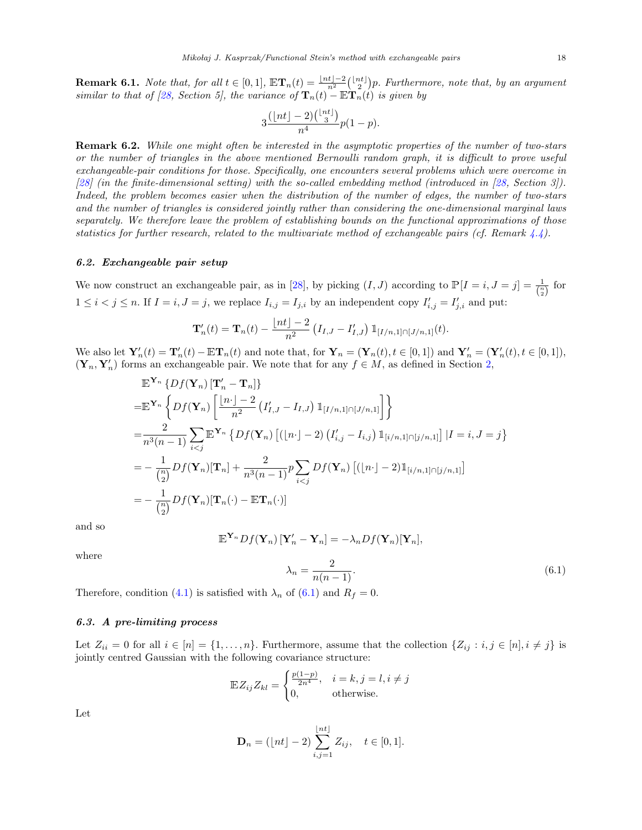**Remark 6.1.** Note that, for all  $t \in [0,1]$ ,  $\mathbb{E} \mathbf{T}_n(t) = \frac{\lfloor nt \rfloor - 2}{n^2} \binom{\lfloor nt \rfloor}{2} p$ . Furthermore, note that, by an argument similar to that of [\[28,](#page-21-11) Section 5], the variance of  $\mathbf{T}_n(t) - \mathbb{E} \tilde{\mathbf{T}_n}(t)$  is given by

$$
3\frac{(\lfloor nt \rfloor -2)\binom{\lfloor nt \rfloor}{3}}{n^4}p(1-p).
$$

**Remark 6.2.** While one might often be interested in the asymptotic properties of the number of two-stars or the number of triangles in the above mentioned Bernoulli random graph, it is difficult to prove useful exchangeable-pair conditions for those. Specifically, one encounters several problems which were overcome in [\[28\]](#page-21-11) (in the finite-dimensional setting) with the so-called embedding method (introduced in [\[28,](#page-21-11) Section 3]). Indeed, the problem becomes easier when the distribution of the number of edges, the number of two-stars and the number of triangles is considered jointly rather than considering the one-dimensional marginal laws separately. We therefore leave the problem of establishing bounds on the functional approximations of those statistics for further research, related to the multivariate method of exchangeable pairs (cf. Remark  $\{.\}\$ ).

#### <span id="page-17-2"></span>6.2. Exchangeable pair setup

We now construct an exchangeable pair, as in [\[28\]](#page-21-11), by picking  $(I, J)$  according to  $\mathbb{P}[I = i, J = j] = \frac{1}{\binom{n}{2}}$  for  $1 \leq i < j \leq n$ . If  $I = i, J = j$ , we replace  $I_{i,j} = I_{j,i}$  by an independent copy  $I'_{i,j} = I'_{j,i}$  and put:

$$
\mathbf{T}'_n(t) = \mathbf{T}_n(t) - \frac{\lfloor nt \rfloor - 2}{n^2} \left( I_{I,J} - I'_{I,J} \right) \mathbb{1}_{[I/n,1] \cap [J/n,1]}(t).
$$

We also let  $\mathbf{Y}_n'(t) = \mathbf{T}_n'(t) - \mathbb{E} \mathbf{T}_n(t)$  and note that, for  $\mathbf{Y}_n = (\mathbf{Y}_n(t), t \in [0, 1])$  and  $\mathbf{Y}_n' = (\mathbf{Y}_n'(t), t \in [0, 1]),$  $(\mathbf{Y}_n, \mathbf{Y}_n')$  forms an exchangeable pair. We note that for any  $f \in M$ , as defined in Section [2,](#page-4-0)

$$
\mathbb{E}^{\mathbf{Y}_n} \left\{ Df(\mathbf{Y}_n) \left[ \mathbf{T}'_n - \mathbf{T}_n \right] \right\}
$$
\n
$$
= \mathbb{E}^{\mathbf{Y}_n} \left\{ Df(\mathbf{Y}_n) \left[ \frac{\lfloor n \cdot \rfloor - 2}{n^2} \left( I'_{I,J} - I_{I,J} \right) \mathbb{1}_{[I/n,1] \cap [J/n,1]} \right] \right\}
$$
\n
$$
= \frac{2}{n^3(n-1)} \sum_{i < j} \mathbb{E}^{\mathbf{Y}_n} \left\{ Df(\mathbf{Y}_n) \left[ (\lfloor n \cdot \rfloor - 2) \left( I'_{i,j} - I_{i,j} \right) \mathbb{1}_{[i/n,1] \cap [j/n,1]} \right] | I = i, J = j \right\}
$$
\n
$$
= -\frac{1}{\binom{n}{2}} Df(\mathbf{Y}_n) [\mathbf{T}_n] + \frac{2}{n^3(n-1)} p \sum_{i < j} Df(\mathbf{Y}_n) \left[ (\lfloor n \cdot \rfloor - 2) \mathbb{1}_{[i/n,1] \cap [j/n,1]} \right]
$$
\n
$$
= -\frac{1}{\binom{n}{2}} Df(\mathbf{Y}_n) [\mathbf{T}_n(\cdot) - \mathbb{E} \mathbf{T}_n(\cdot)]
$$

and so

$$
\mathbb{E}^{\mathbf{Y}_n} Df(\mathbf{Y}_n) \left[ \mathbf{Y}_n' - \mathbf{Y}_n \right] = -\lambda_n Df(\mathbf{Y}_n) [\mathbf{Y}_n],
$$

where

<span id="page-17-0"></span>
$$
\lambda_n = \frac{2}{n(n-1)}.\tag{6.1}
$$

Therefore, condition [\(4.1\)](#page-7-1) is satisfied with  $\lambda_n$  of [\(6.1\)](#page-17-0) and  $R_f = 0$ .

#### <span id="page-17-1"></span>6.3. A pre-limiting process

Let  $Z_{ii} = 0$  for all  $i \in [n] = \{1, \ldots, n\}$ . Furthermore, assume that the collection  $\{Z_{ij} : i, j \in [n], i \neq j\}$  is jointly centred Gaussian with the following covariance structure:

$$
\mathbb{E}Z_{ij}Z_{kl} = \begin{cases} \frac{p(1-p)}{2n^4}, & i = k, j = l, i \neq j \\ 0, & \text{otherwise.} \end{cases}
$$

Let

$$
\mathbf{D}_n = (\lfloor nt \rfloor - 2) \sum_{i,j=1}^{\lfloor nt \rfloor} Z_{ij}, \quad t \in [0,1].
$$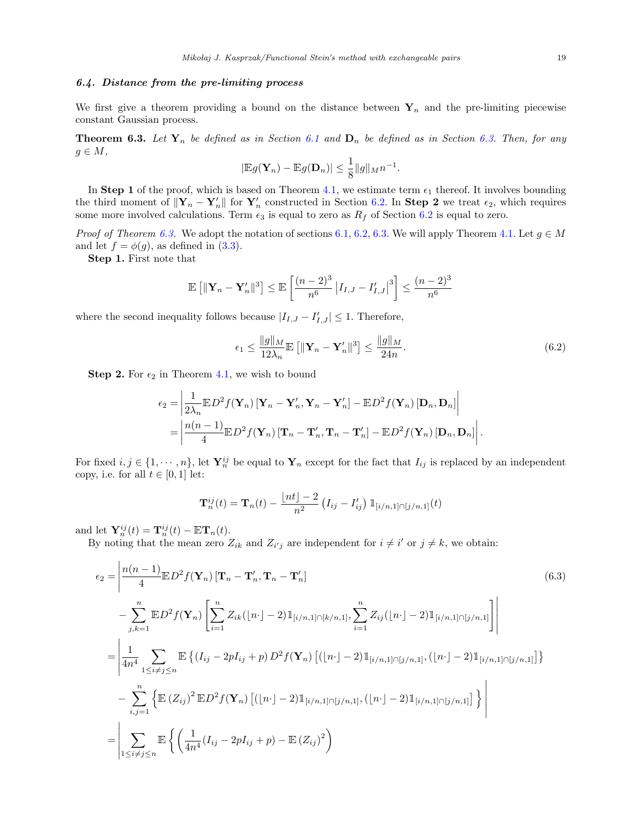#### 6.4. Distance from the pre-limiting process

We first give a theorem providing a bound on the distance between  $Y_n$  and the pre-limiting piecewise constant Gaussian process.

<span id="page-18-0"></span>**Theorem [6.3.](#page-17-1)** Let  $Y_n$  be defined as in Section [6.1](#page-16-1) and  $D_n$  be defined as in Section 6.3. Then, for any  $g \in M$ ,

$$
|\mathbb{E}g(\mathbf{Y}_n)-\mathbb{E}g(\mathbf{D}_n)|\leq \frac{1}{8}||g||_M n^{-1}.
$$

In Step 1 of the proof, which is based on Theorem [4.1,](#page-7-0) we estimate term  $\epsilon_1$  thereof. It involves bounding the third moment of  $\|\mathbf{Y}_n - \mathbf{Y}_n'\|$  for  $\mathbf{Y}_n'$  constructed in Section [6.2.](#page-17-2) In Step 2 we treat  $\epsilon_2$ , which requires some more involved calculations. Term  $\epsilon_3$  is equal to zero as  $R_f$  of Section [6.2](#page-17-2) is equal to zero.

*Proof of Theorem [6.3.](#page-17-1)* We adopt the notation of sections [6.1,](#page-16-1) [6.2,](#page-17-2) 6.3. We will apply Theorem [4.1.](#page-7-0) Let  $g \in M$ and let  $f = \phi(g)$ , as defined in [\(3.3\)](#page-6-1).

Step 1. First note that

$$
\mathbb{E}\left[\|\mathbf{Y}_n - \mathbf{Y}_n'\|^3\right] \le \mathbb{E}\left[\frac{(n-2)^3}{n^6} \left|I_{I,J} - I_{I,J}'\right|^3\right] \le \frac{(n-2)^3}{n^6}
$$

where the second inequality follows because  $|I_{I,J} - I'_{I,J}| \leq 1$ . Therefore,

<span id="page-18-1"></span>
$$
\epsilon_1 \le \frac{\|g\|_M}{12\lambda_n} \mathbb{E}\left[\|\mathbf{Y}_n - \mathbf{Y}_n'\|^3\right] \le \frac{\|g\|_M}{24n}.\tag{6.2}
$$

**Step 2.** For  $\epsilon_2$  in Theorem [4.1,](#page-7-0) we wish to bound

$$
\epsilon_2 = \left| \frac{1}{2\lambda_n} \mathbb{E} D^2 f(\mathbf{Y}_n) \left[ \mathbf{Y}_n - \mathbf{Y}'_n, \mathbf{Y}_n - \mathbf{Y}'_n \right] - \mathbb{E} D^2 f(\mathbf{Y}_n) \left[ \mathbf{D}_n, \mathbf{D}_n \right] \right|
$$
  
= 
$$
\left| \frac{n(n-1)}{4} \mathbb{E} D^2 f(\mathbf{Y}_n) \left[ \mathbf{T}_n - \mathbf{T}'_n, \mathbf{T}_n - \mathbf{T}'_n \right] - \mathbb{E} D^2 f(\mathbf{Y}_n) \left[ \mathbf{D}_n, \mathbf{D}_n \right] \right|.
$$

For fixed  $i, j \in \{1, \dots, n\}$ , let  $\mathbf{Y}_n^{ij}$  be equal to  $\mathbf{Y}_n$  except for the fact that  $I_{ij}$  is replaced by an independent copy, i.e. for all  $t \in [0, 1]$  let:

$$
\mathbf{T}_n^{ij}(t) = \mathbf{T}_n(t) - \frac{\lfloor nt \rfloor - 2}{n^2} \left( I_{ij} - I'_{ij} \right) \mathbb{1}_{[i/n,1] \cap [j/n,1]}(t)
$$

and let  $\mathbf{Y}_n^{ij}(t) = \mathbf{T}_n^{ij}(t) - \mathbb{E} \mathbf{T}_n(t)$ .

By noting that the mean zero  $Z_{ik}$  and  $Z_{i'j}$  are independent for  $i \neq i'$  or  $j \neq k$ , we obtain:

$$
\epsilon_{2} = \left| \frac{n(n-1)}{4} \mathbb{E} D^{2} f(\mathbf{Y}_{n}) \left[ \mathbf{T}_{n} - \mathbf{T}_{n}', \mathbf{T}_{n} - \mathbf{T}_{n}' \right] \right|
$$
\n
$$
- \sum_{j,k=1}^{n} \mathbb{E} D^{2} f(\mathbf{Y}_{n}) \left[ \sum_{i=1}^{n} Z_{ik}(|n \cdot | - 2) \mathbb{1}_{[i/n,1] \cap [k/n,1]}, \sum_{i=1}^{n} Z_{ij}(|n \cdot | - 2) \mathbb{1}_{[i/n,1] \cap [j/n,1]} \right] \right|
$$
\n
$$
= \left| \frac{1}{4n^{4}} \sum_{1 \leq i \neq j \leq n} \mathbb{E} \left\{ (I_{ij} - 2pI_{ij} + p) D^{2} f(\mathbf{Y}_{n}) \left[ (|n \cdot | - 2) \mathbb{1}_{[i/n,1] \cap [j/n,1]}, (|n \cdot | - 2) \mathbb{1}_{[i/n,1] \cap [j/n,1]} \right] \right\} - \sum_{i,j=1}^{n} \left\{ \mathbb{E} (Z_{ij})^{2} \mathbb{E} D^{2} f(\mathbf{Y}_{n}) \left[ (|n \cdot | - 2) \mathbb{1}_{[i/n,1] \cap [j/n,1]}, (|n \cdot | - 2) \mathbb{1}_{[i/n,1] \cap [j/n,1]} \right] \right\} \right|
$$
\n
$$
= \left| \sum_{1 \leq i \neq j \leq n} \mathbb{E} \left\{ \left( \frac{1}{4n^{4}} (I_{ij} - 2pI_{ij} + p) - \mathbb{E} (Z_{ij})^{2} \right)
$$
\n(12.10)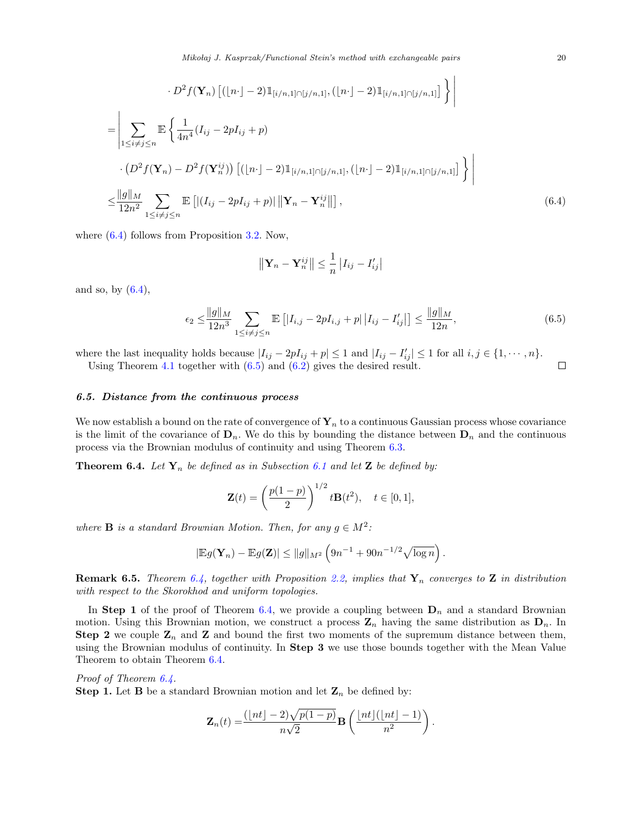$$
-D^{2} f(\mathbf{Y}_{n}) \left[ (\lfloor n \cdot \rfloor - 2) \mathbb{1}_{[i/n,1] \cap [j/n,1]}, (\lfloor n \cdot \rfloor - 2) \mathbb{1}_{[i/n,1] \cap [j/n,1]} \right] \Bigg\} \Bigg|
$$
  
\n
$$
= \Bigg| \sum_{1 \leq i \neq j \leq n} \mathbb{E} \Bigg\{ \frac{1}{4n^{4}} (I_{ij} - 2pI_{ij} + p)
$$
  
\n
$$
\cdot (D^{2} f(\mathbf{Y}_{n}) - D^{2} f(\mathbf{Y}_{n}^{ij})) \left[ (\lfloor n \cdot \rfloor - 2) \mathbb{1}_{[i/n,1] \cap [j/n,1]}, (\lfloor n \cdot \rfloor - 2) \mathbb{1}_{[i/n,1] \cap [j/n,1]} \right] \Bigg\} \Bigg|
$$
  
\n
$$
\leq \frac{\|g\|_{M}}{12n^{2}} \sum_{1 \leq i \neq j \leq n} \mathbb{E} \left[ |(I_{ij} - 2pI_{ij} + p)| \left\| \mathbf{Y}_{n} - \mathbf{Y}_{n}^{ij} \right\| \right], \tag{6.4}
$$

where  $(6.4)$  follows from Proposition [3.2.](#page-6-2) Now,

$$
\left\|\mathbf{Y}_n-\mathbf{Y}_n^{ij}\right\| \leq \frac{1}{n} \left|I_{ij}-I_{ij}'\right|
$$

and so, by  $(6.4)$ ,

$$
\epsilon_2 \le \frac{\|g\|_M}{12n^3} \sum_{1 \le i \ne j \le n} \mathbb{E}\left[|I_{i,j} - 2pI_{i,j} + p| \left|I_{ij} - I'_{ij}\right|\right] \le \frac{\|g\|_M}{12n},\tag{6.5}
$$

where the last inequality holds because  $|I_{ij} - 2pI_{ij} + p| \leq 1$  and  $|I_{ij} - I'_{ij}| \leq 1$  for all  $i, j \in \{1, \dots, n\}$ .  $\Box$ 

Using Theorem [4.1](#page-7-0) together with [\(6.5\)](#page-19-2) and [\(6.2\)](#page-18-1) gives the desired result.

#### 6.5. Distance from the continuous process

We now establish a bound on the rate of convergence of  $Y_n$  to a continuous Gaussian process whose covariance is the limit of the covariance of  $\mathbf{D}_n$ . We do this by bounding the distance between  $\mathbf{D}_n$  and the continuous process via the Brownian modulus of continuity and using Theorem [6.3.](#page-18-0)

<span id="page-19-0"></span>**Theorem 6.4.** Let  $Y_n$  be defined as in Subsection [6.1](#page-16-1) and let **Z** be defined by:

$$
\mathbf{Z}(t) = \left(\frac{p(1-p)}{2}\right)^{1/2} t \mathbf{B}(t^2), \quad t \in [0,1],
$$

where **B** is a standard Brownian Motion. Then, for any  $g \in M^2$ :

$$
|\mathbb{E}g(\mathbf{Y}_n)-\mathbb{E}g(\mathbf{Z})|\leq \|g\|_{M^2}\left(9n^{-1}+90n^{-1/2}\sqrt{\log n}\right).
$$

**Remark 6.5.** Theorem [6.4,](#page-19-0) together with Proposition [2.2,](#page-5-0) implies that  $\mathbf{Y}_n$  converges to **Z** in distribution with respect to the Skorokhod and uniform topologies.

In Step 1 of the proof of Theorem [6.4,](#page-19-0) we provide a coupling between  $D_n$  and a standard Brownian motion. Using this Brownian motion, we construct a process  $\mathbf{Z}_n$  having the same distribution as  $\mathbf{D}_n$ . In **Step 2** we couple  $\mathbf{Z}_n$  and  $\mathbf{Z}$  and bound the first two moments of the supremum distance between them, using the Brownian modulus of continuity. In Step 3 we use those bounds together with the Mean Value Theorem to obtain Theorem [6.4.](#page-19-0)

Proof of Theorem [6.4.](#page-19-0) **Step 1.** Let **B** be a standard Brownian motion and let  $\mathbf{Z}_n$  be defined by:

$$
\mathbf{Z}_n(t) = \frac{(\lfloor nt \rfloor - 2)\sqrt{p(1-p)}}{n\sqrt{2}} \mathbf{B}\left(\frac{\lfloor nt \rfloor (\lfloor nt \rfloor - 1)}{n^2}\right).
$$

<span id="page-19-2"></span><span id="page-19-1"></span> $\sim$  1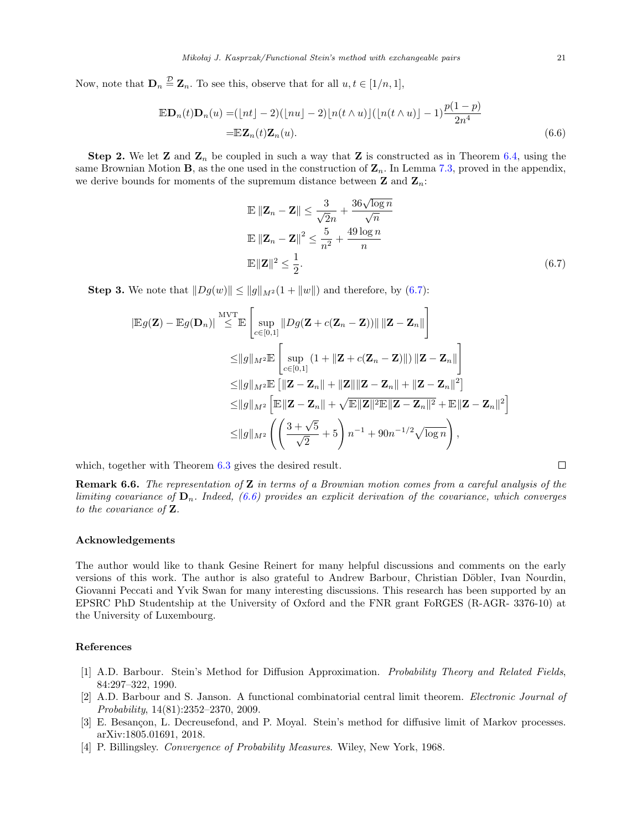Now, note that  $\mathbf{D}_n \stackrel{\mathcal{D}}{=} \mathbf{Z}_n$ . To see this, observe that for all  $u, t \in [1/n, 1]$ ,

$$
\mathbb{E} \mathbf{D}_n(t) \mathbf{D}_n(u) = (\lfloor nt \rfloor - 2)(\lfloor nu \rfloor - 2)\lfloor n(t \wedge u) \rfloor (\lfloor n(t \wedge u) \rfloor - 1) \frac{p(1-p)}{2n^4}
$$
  
= 
$$
\mathbb{E} \mathbf{Z}_n(t) \mathbf{Z}_n(u).
$$
 (6.6)

**Step 2.** We let **Z** and  $\mathbf{Z}_n$  be coupled in such a way that **Z** is constructed as in Theorem [6.4,](#page-19-0) using the same Brownian Motion B, as the one used in the construction of  $\mathbb{Z}_n$ . In Lemma [7.3,](#page-24-0) proved in the appendix, we derive bounds for moments of the supremum distance between  $\mathbf{Z}$  and  $\mathbf{Z}_n$ :

<span id="page-20-5"></span>
$$
\mathbb{E} \|\mathbf{Z}_n - \mathbf{Z}\| \le \frac{3}{\sqrt{2}n} + \frac{36\sqrt{\log n}}{\sqrt{n}}
$$
  

$$
\mathbb{E} \|\mathbf{Z}_n - \mathbf{Z}\|^2 \le \frac{5}{n^2} + \frac{49\log n}{n}
$$
  

$$
\mathbb{E} \|\mathbf{Z}\|^2 \le \frac{1}{2}.
$$
 (6.7)

**Step 3.** We note that  $||Dg(w)|| \le ||g||_{M^2} (1 + ||w||)$  and therefore, by [\(6.7\)](#page-20-4):

$$
|\mathbb{E}g(\mathbf{Z}) - \mathbb{E}g(\mathbf{D}_n)| \overset{\text{MVT}}{\leq} \mathbb{E}\left[\sup_{c \in [0,1]} \|Dg(\mathbf{Z} + c(\mathbf{Z}_n - \mathbf{Z}))\| \|\mathbf{Z} - \mathbf{Z}_n\|\right]
$$
  
\n
$$
\leq ||g||_{M^2} \mathbb{E}\left[\sup_{c \in [0,1]} (1 + ||\mathbf{Z} + c(\mathbf{Z}_n - \mathbf{Z})||) \|\mathbf{Z} - \mathbf{Z}_n\|\right]
$$
  
\n
$$
\leq ||g||_{M^2} \mathbb{E}\left[\|\mathbf{Z} - \mathbf{Z}_n\| + \|\mathbf{Z}\|\|\mathbf{Z} - \mathbf{Z}_n\| + \|\mathbf{Z} - \mathbf{Z}_n\|^2\right]
$$
  
\n
$$
\leq ||g||_{M^2} \left[\mathbb{E}\|\mathbf{Z} - \mathbf{Z}_n\| + \sqrt{\mathbb{E}\|\mathbf{Z}\|^2 \mathbb{E}\|\mathbf{Z} - \mathbf{Z}_n\|^2} + \mathbb{E}\|\mathbf{Z} - \mathbf{Z}_n\|^2\right]
$$
  
\n
$$
\leq ||g||_{M^2} \left(\left(\frac{3 + \sqrt{5}}{\sqrt{2}} + 5\right)n^{-1} + 90n^{-1/2}\sqrt{\log n}\right),
$$

which, together with Theorem  $6.3$  gives the desired result.

**Remark 6.6.** The representation of  $\mathbb Z$  in terms of a Brownian motion comes from a careful analysis of the limiting covariance of  $\mathbf{D}_n$ . Indeed, [\(6.6\)](#page-20-5) provides an explicit derivation of the covariance, which converges to the covariance of Z.

#### Acknowledgements

The author would like to thank Gesine Reinert for many helpful discussions and comments on the early versions of this work. The author is also grateful to Andrew Barbour, Christian Döbler, Ivan Nourdin, Giovanni Peccati and Yvik Swan for many interesting discussions. This research has been supported by an EPSRC PhD Studentship at the University of Oxford and the FNR grant FoRGES (R-AGR- 3376-10) at the University of Luxembourg.

## References

- <span id="page-20-0"></span>[1] A.D. Barbour. Stein's Method for Diffusion Approximation. Probability Theory and Related Fields, 84:297–322, 1990.
- <span id="page-20-1"></span>[2] A.D. Barbour and S. Janson. A functional combinatorial central limit theorem. Electronic Journal of Probability, 14(81):2352–2370, 2009.
- <span id="page-20-2"></span>[3] E. Besançon, L. Decreusefond, and P. Moyal. Stein's method for diffusive limit of Markov processes. arXiv:1805.01691, 2018.
- <span id="page-20-3"></span>[4] P. Billingsley. Convergence of Probability Measures. Wiley, New York, 1968.

<span id="page-20-4"></span> $\Box$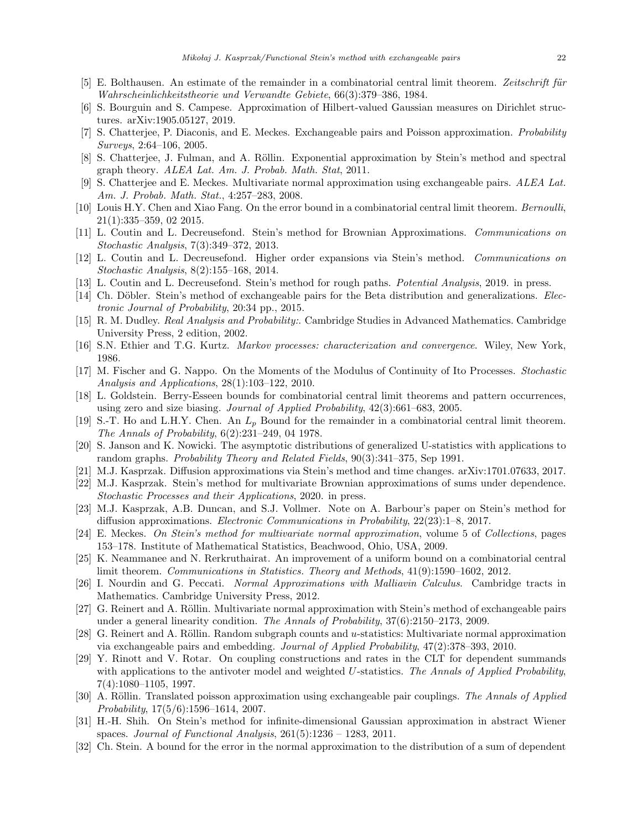- <span id="page-21-7"></span>[5] E. Bolthausen. An estimate of the remainder in a combinatorial central limit theorem. Zeitschrift für Wahrscheinlichkeitstheorie und Verwandte Gebiete, 66(3):379–386, 1984.
- <span id="page-21-23"></span>[6] S. Bourguin and S. Campese. Approximation of Hilbert-valued Gaussian measures on Dirichlet structures. arXiv:1905.05127, 2019.
- <span id="page-21-12"></span>[7] S. Chatterjee, P. Diaconis, and E. Meckes. Exchangeable pairs and Poisson approximation. Probability Surveys, 2:64–106, 2005.
- <span id="page-21-13"></span>[8] S. Chatterjee, J. Fulman, and A. Röllin. Exponential approximation by Stein's method and spectral graph theory. ALEA Lat. Am. J. Probab. Math. Stat, 2011.
- <span id="page-21-2"></span>[9] S. Chatterjee and E. Meckes. Multivariate normal approximation using exchangeable pairs. ALEA Lat. Am. J. Probab. Math. Stat., 4:257–283, 2008.
- <span id="page-21-6"></span>[10] Louis H.Y. Chen and Xiao Fang. On the error bound in a combinatorial central limit theorem. Bernoulli, 21(1):335–359, 02 2015.
- <span id="page-21-18"></span>[11] L. Coutin and L. Decreusefond. Stein's method for Brownian Approximations. Communications on Stochastic Analysis, 7(3):349–372, 2013.
- <span id="page-21-19"></span>[12] L. Coutin and L. Decreusefond. Higher order expansions via Stein's method. Communications on Stochastic Analysis, 8(2):155–168, 2014.
- <span id="page-21-22"></span>[13] L. Coutin and L. Decreusefond. Stein's method for rough paths. Potential Analysis, 2019. in press.
- <span id="page-21-15"></span>[14] Ch. Döbler. Stein's method of exchangeable pairs for the Beta distribution and generalizations. *Elec*tronic Journal of Probability, 20:34 pp., 2015.
- <span id="page-21-26"></span>[15] R. M. Dudley. Real Analysis and Probability:. Cambridge Studies in Advanced Mathematics. Cambridge University Press, 2 edition, 2002.
- <span id="page-21-25"></span>[16] S.N. Ethier and T.G. Kurtz. Markov processes: characterization and convergence. Wiley, New York, 1986.
- <span id="page-21-27"></span>[17] M. Fischer and G. Nappo. On the Moments of the Modulus of Continuity of Ito Processes. Stochastic Analysis and Applications, 28(1):103–122, 2010.
- <span id="page-21-8"></span>[18] L. Goldstein. Berry-Esseen bounds for combinatorial central limit theorems and pattern occurrences, using zero and size biasing. Journal of Applied Probability, 42(3):661–683, 2005.
- <span id="page-21-5"></span>[19] S.-T. Ho and L.H.Y. Chen. An  $L_p$  Bound for the remainder in a combinatorial central limit theorem. The Annals of Probability, 6(2):231–249, 04 1978.
- <span id="page-21-10"></span>[20] S. Janson and K. Nowicki. The asymptotic distributions of generalized U-statistics with applications to random graphs. Probability Theory and Related Fields, 90(3):341–375, Sep 1991.
- <span id="page-21-20"></span>[21] M.J. Kasprzak. Diffusion approximations via Stein's method and time changes. arXiv:1701.07633, 2017.
- <span id="page-21-21"></span>[22] M.J. Kasprzak. Stein's method for multivariate Brownian approximations of sums under dependence. Stochastic Processes and their Applications, 2020. in press.
- <span id="page-21-24"></span>[23] M.J. Kasprzak, A.B. Duncan, and S.J. Vollmer. Note on A. Barbour's paper on Stein's method for diffusion approximations. Electronic Communications in Probability, 22(23):1–8, 2017.
- <span id="page-21-4"></span>[24] E. Meckes. On Stein's method for multivariate normal approximation, volume 5 of Collections, pages 153–178. Institute of Mathematical Statistics, Beachwood, Ohio, USA, 2009.
- <span id="page-21-9"></span>[25] K. Neammanee and N. Rerkruthairat. An improvement of a uniform bound on a combinatorial central limit theorem. Communications in Statistics. Theory and Methods, 41(9):1590–1602, 2012.
- <span id="page-21-16"></span>[26] I. Nourdin and G. Peccati. Normal Approximations with Malliavin Calculus. Cambridge tracts in Mathematics. Cambridge University Press, 2012.
- <span id="page-21-3"></span>[27] G. Reinert and A. Röllin. Multivariate normal approximation with Stein's method of exchangeable pairs under a general linearity condition. The Annals of Probability, 37(6):2150–2173, 2009.
- <span id="page-21-11"></span>[28] G. Reinert and A. Röllin. Random subgraph counts and  $u$ -statistics: Multivariate normal approximation via exchangeable pairs and embedding. Journal of Applied Probability, 47(2):378–393, 2010.
- <span id="page-21-1"></span>[29] Y. Rinott and V. Rotar. On coupling constructions and rates in the CLT for dependent summands with applications to the antivoter model and weighted U-statistics. The Annals of Applied Probability, 7(4):1080–1105, 1997.
- <span id="page-21-14"></span>[30] A. Röllin. Translated poisson approximation using exchangeable pair couplings. The Annals of Applied Probability, 17(5/6):1596–1614, 2007.
- <span id="page-21-17"></span>[31] H.-H. Shih. On Stein's method for infinite-dimensional Gaussian approximation in abstract Wiener spaces. Journal of Functional Analysis, 261(5):1236 – 1283, 2011.
- <span id="page-21-0"></span>[32] Ch. Stein. A bound for the error in the normal approximation to the distribution of a sum of dependent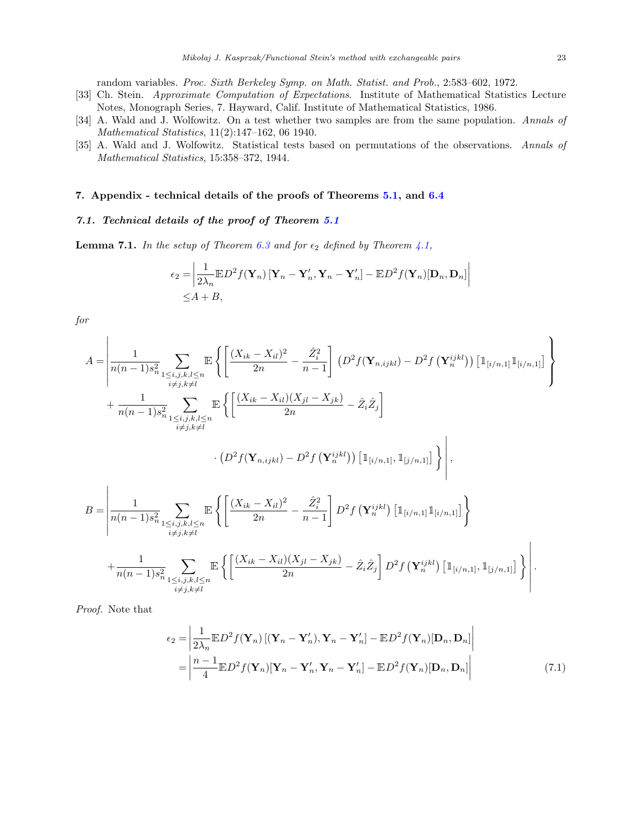random variables. Proc. Sixth Berkeley Symp. on Math. Statist. and Prob., 2:583–602, 1972.

- <span id="page-22-0"></span>[33] Ch. Stein. Approximate Computation of Expectations. Institute of Mathematical Statistics Lecture Notes, Monograph Series, 7. Hayward, Calif. Institute of Mathematical Statistics, 1986.
- <span id="page-22-2"></span>[34] A. Wald and J. Wolfowitz. On a test whether two samples are from the same population. Annals of Mathematical Statistics, 11(2):147–162, 06 1940.
- <span id="page-22-1"></span>[35] A. Wald and J. Wolfowitz. Statistical tests based on permutations of the observations. Annals of Mathematical Statistics, 15:358–372, 1944.

## 7. Appendix - technical details of the proofs of Theorems [5.1,](#page-10-0) and [6.4](#page-19-0)

#### 7.1. Technical details of the proof of Theorem [5.1](#page-10-0)

<span id="page-22-3"></span>**Lemma 7.1.** In the setup of Theorem [6.3](#page-18-0) and for  $\epsilon_2$  defined by Theorem [4.1,](#page-7-0)

$$
\epsilon_2 = \left| \frac{1}{2\lambda_n} \mathbb{E} D^2 f(\mathbf{Y}_n) \left[ \mathbf{Y}_n - \mathbf{Y}'_n, \mathbf{Y}_n - \mathbf{Y}'_n \right] - \mathbb{E} D^2 f(\mathbf{Y}_n) [\mathbf{D}_n, \mathbf{D}_n] \right|
$$
  
\$\leq A + B\$,

for

$$
A = \left| \frac{1}{n(n-1)s_n^2} \sum_{\substack{1 \le i,j,k,l \le n \\ i \ne j,k \ne l}} \mathbb{E} \left\{ \left[ \frac{(X_{ik} - X_{il})^2}{2n} - \frac{\hat{Z}_i^2}{n-1} \right] (D^2 f(\mathbf{Y}_{n,ijkl}) - D^2 f(\mathbf{Y}_n^{ijkl})) [\mathbb{1}_{[i/n,1]} \mathbb{1}_{[i/n,1]}] \right\} \right\}
$$
  
+ 
$$
\frac{1}{n(n-1)s_n^2} \sum_{\substack{1 \le i,j,k,l \le n \\ i \ne j,k \ne l}} \mathbb{E} \left\{ \left[ \frac{(X_{ik} - X_{il})(X_{jl} - X_{jk})}{2n} - \hat{Z}_i \hat{Z}_j \right] \right.
$$
  
- 
$$
(D^2 f(\mathbf{Y}_{n,ijkl}) - D^2 f(\mathbf{Y}_n^{ijkl})) [\mathbb{1}_{[i/n,1]}, \mathbb{1}_{[j/n,1]}] \right\} \right|,
$$
  

$$
B = \left| \frac{1}{n(n-1)s_n^2} \sum_{\substack{1 \le i,j,k,l \le n \\ i \ne j,k \ne l}} \mathbb{E} \left\{ \left[ \frac{(X_{ik} - X_{il})^2}{2n} - \frac{\hat{Z}_i^2}{n-1} \right] D^2 f(\mathbf{Y}_n^{ijkl}) [\mathbb{1}_{[i/n,1]} \mathbb{1}_{[i/n,1]}] \right\}
$$
  
+ 
$$
\frac{1}{n(n-1)s_n^2} \sum_{\substack{1 \le i,j,k,l \le n \\ i \ne j,k \ne l}} \mathbb{E} \left\{ \left[ \frac{(X_{ik} - X_{il})(X_{jl} - X_{jk})}{2n} - \hat{Z}_i \hat{Z}_j \right] D^2 f(\mathbf{Y}_n^{ijkl}) [\mathbb{1}_{[i/n,1]}, \mathbb{1}_{[j/n,1]}] \right\} \right|.
$$

Proof. Note that

<span id="page-22-4"></span>
$$
\epsilon_2 = \left| \frac{1}{2\lambda_n} \mathbb{E} D^2 f(\mathbf{Y}_n) \left[ (\mathbf{Y}_n - \mathbf{Y}'_n), \mathbf{Y}_n - \mathbf{Y}'_n \right] - \mathbb{E} D^2 f(\mathbf{Y}_n) [\mathbf{D}_n, \mathbf{D}_n] \right|
$$
  
= 
$$
\left| \frac{n-1}{4} \mathbb{E} D^2 f(\mathbf{Y}_n) [\mathbf{Y}_n - \mathbf{Y}'_n, \mathbf{Y}_n - \mathbf{Y}'_n] - \mathbb{E} D^2 f(\mathbf{Y}_n) [\mathbf{D}_n, \mathbf{D}_n] \right|
$$
(7.1)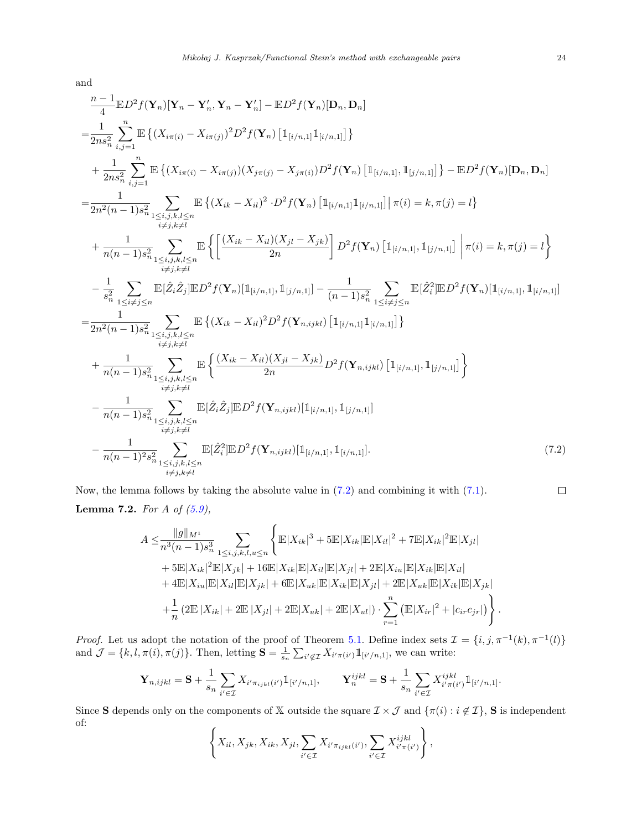and

$$
\frac{n-1}{4} \mathbb{E}D^2 f(\mathbf{Y}_n)[\mathbf{Y}_n - \mathbf{Y}'_n, \mathbf{Y}_n - \mathbf{Y}'_n] - \mathbb{E}D^2 f(\mathbf{Y}_n)[\mathbf{D}_n, \mathbf{D}_n]
$$
\n
$$
= \frac{1}{2ns_n^2} \sum_{i,j=1}^n \mathbb{E} \left\{ (X_{i\pi(i)} - X_{i\pi(j)})^2 D^2 f(\mathbf{Y}_n) [1_{[i/n,1]} 1_{[i/n,1]}] \right\}
$$
\n
$$
+ \frac{1}{2ns_n^2} \sum_{i,j=1}^n \mathbb{E} \left\{ (X_{i\pi(i)} - X_{i\pi(j)}) (X_{j\pi(j)} - X_{j\pi(i)}) D^2 f(\mathbf{Y}_n) [1_{[i/n,1]}, 1_{[j/n,1]}] \right\} - \mathbb{E}D^2 f(\mathbf{Y}_n)[\mathbf{D}_n, \mathbf{D}_n]
$$
\n
$$
= \frac{1}{2n^2(n-1)s_n^2} \sum_{\substack{1 \le i,j,k,l \le n \\ i \ne j,k \ne l}} \mathbb{E} \left\{ \left[ (X_{ik} - X_{il})^2 \cdot D^2 f(\mathbf{Y}_n) [1_{[i/n,1]} 1_{[i/n,1]}] | \pi(i) = k, \pi(j) = l \right\}
$$
\n
$$
+ \frac{1}{n(n-1)s_n^2} \sum_{\substack{1 \le i,j,k,l \le n \\ i \ne j,k \ne l}} \mathbb{E} \left\{ \left[ \frac{(X_{ik} - X_{il})(X_{jl} - X_{jk})}{2n} \right] D^2 f(\mathbf{Y}_n) [1_{[i/n,1]}, 1_{[j/n,1]}] \right] \pi(i) = k, \pi(j) = l \right\}
$$
\n
$$
- \frac{1}{s_n^2} \sum_{\substack{1 \le i \ne j \le n \\ i \ne j,k \ne l}} \mathbb{E} [\hat{Z}_i \hat{Z}_j] \mathbb{E}D^2 f(\mathbf{Y}_n)[1_{[i/n,1]}, 1_{[j/n,1]}] - \frac{1}{(n-1)s_n^2} \sum_{\substack{1 \le i \ne j \le n \\ 1 \le i \ne j \le n}} \mathbb{E} [\hat
$$

<span id="page-23-0"></span>Now, the lemma follows by taking the absolute value in [\(7.2\)](#page-23-1) and combining it with [\(7.1\)](#page-22-4). Lemma 7.2. For A of  $(5.9)$ ,

$$
A \leq \frac{\|g\|_{M^1}}{n^3(n-1)s_n^3} \sum_{1 \leq i,j,k,l,u \leq n} \left\{ \mathbb{E}|X_{ik}|^3 + 5 \mathbb{E}|X_{ik}|\mathbb{E}|X_{il}|^2 + 7 \mathbb{E}|X_{ik}|^2 \mathbb{E}|X_{jl}| + 5 \mathbb{E}|X_{ik}|^2 \mathbb{E}|X_{jk}| + 16 \mathbb{E}|X_{ik}|\mathbb{E}|X_{il}|\mathbb{E}|X_{jl}| + 2 \mathbb{E}|X_{iu}|\mathbb{E}|X_{ik}|\mathbb{E}|X_{il}| + 4 \mathbb{E}|X_{iu}|\mathbb{E}|X_{il}|\mathbb{E}|X_{jl}| + 6 \mathbb{E}|X_{uk}|\mathbb{E}|X_{ik}|\mathbb{E}|X_{jl}| + 2 \mathbb{E}|X_{uk}|\mathbb{E}|X_{ik}|\mathbb{E}|X_{jk}| + \frac{1}{n} (2 \mathbb{E}|X_{ik}| + 2 \mathbb{E}|X_{jl}| + 2 \mathbb{E}|X_{uk}| + 2 \mathbb{E}|X_{ul}|) \cdot \sum_{r=1}^n (\mathbb{E}|X_{ir}|^2 + |c_{ir}c_{jr}|) \right\}.
$$

*Proof.* Let us adopt the notation of the proof of Theorem [5.1.](#page-10-0) Define index sets  $\mathcal{I} = \{i, j, \pi^{-1}(k), \pi^{-1}(l)\}\$ and  $\mathcal{J} = \{k, l, \pi(i), \pi(j)\}\$ . Then, letting  $\mathbf{S} = \frac{1}{s_n} \sum_{i' \notin \mathcal{I}} X_{i'\pi(i')} \mathbb{1}_{[i'/n,1]},$  we can write:

$$
\mathbf{Y}_{n,ijkl} = \mathbf{S} + \frac{1}{s_n} \sum_{i' \in \mathcal{I}} X_{i' \pi_{ijkl}(i')} \mathbb{1}_{[i'/n,1]}, \qquad \mathbf{Y}_n^{ijkl} = \mathbf{S} + \frac{1}{s_n} \sum_{i' \in \mathcal{I}} X_{i' \pi(i')}^{ijkl} \mathbb{1}_{[i'/n,1]}.
$$

Since S depends only on the components of X outside the square  $\mathcal{I} \times \mathcal{J}$  and  $\{\pi(i) : i \notin \mathcal{I}\},$  S is independent of:  $\lambda$ 

$$
\left\{ X_{il}, X_{jk}, X_{ik}, X_{jl}, \sum_{i' \in \mathcal{I}} X_{i' \pi_{ijkl}(i')}, \sum_{i' \in \mathcal{I}} X_{i' \pi(i')}^{ijkl} \right\},\,
$$

<span id="page-23-1"></span> $\Box$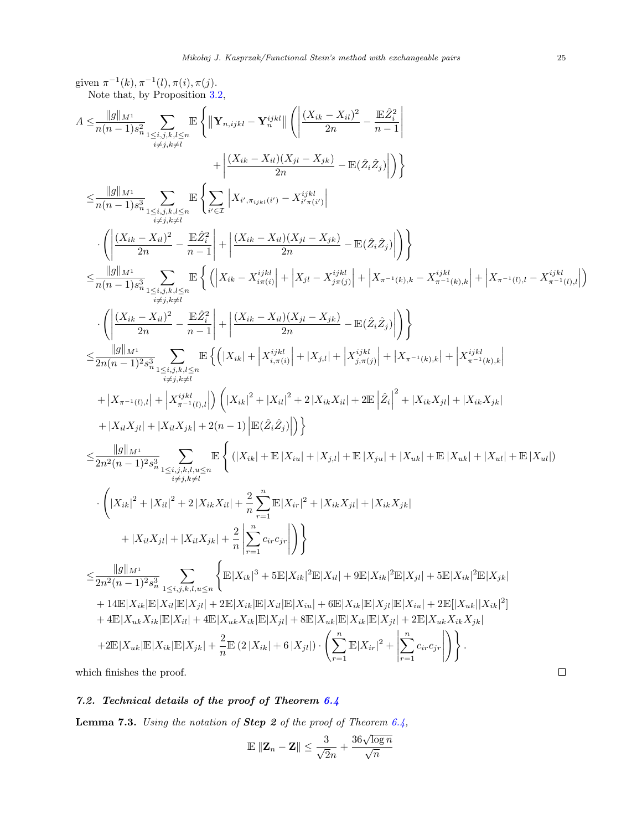given  $\pi^{-1}(k), \pi^{-1}(l), \pi(i), \pi(j)$ . Note that, by Proposition [3.2,](#page-6-2)

$$
\begin{split} A & \leq \frac{\|g\|_{M^1}}{n(n-1)s_n^2} \sum_{\substack{1 \leq i,j,k,l \leq n \\ j \neq j,k \neq l}} \mathbb{E} \left\{ \left\| \mathbf{Y}_{n,ijkl} - \mathbf{Y}_n^{ijkl} \right\| \left( \frac{|(X_{ik} - X_{il})^2}{2n} - \frac{\mathbb{E} \hat{Z}_i^2}{n-1} \right) \right. \\ & \leq \frac{\|g\|_{M^1}}{n(n-1)s_{n-1}} \sum_{\substack{1 \leq j,k,l \leq n \\ j \neq j,k \neq l}} \mathbb{E} \left\{ \sum_{i' \in \mathcal{I}} \left| X_{i',\pi_{ijkl}(i')} - X_{i'\pi(i')}^{ijkl} \right| \\ & \cdot \left( \left| \frac{(X_{ik} - X_{il})^2}{2n} - \frac{\mathbb{E} \hat{Z}_i^2}{n-1} \right| + \left| \frac{(X_{ik} - X_{il})(X_{jl} - X_{jk})}{2n} - \mathbb{E}(\hat{Z}_i \hat{Z}_j) \right| \right) \right\} \\ & \leq \frac{\|g\|_{M^1}}{n(n-1)s_{n-1}} \sum_{1 \leq i,j,k,l \leq n} \mathbb{E} \left\{ \left( \left| X_{ik} - X_{ij}^{ijkl} \right| + \left| X_{jl} - X_{jk}^{ijkl} \right| + \left| X_{\pi^{-1}(k),k} - X_{\pi^{-1}(k),k}^{ijkl} \right| + \left| X_{\pi^{-1}(l),l} - X_{\pi^{-1}(l),l}^{ijkl} \right| \right) \right\} \\ & \leq \frac{\|g\|_{M^1}}{2n} \sum_{\substack{j \neq j,k,l \leq n \\ j \neq j,k \neq l}} \mathbb{E} \left\{ \left( \left| X_{ik} - X_{ij}^{ijkl} \right| + \left| X_{jl} - X_{jk}^{ijkl} \right| + \left| X_{\pi^{-1}(k),k} - X_{\pi^{-1}(k),k}^{ijkl} \right| + \left| X_{\pi^{-1}(l),l} - X_{\pi^{-1}(l),l}^{ijkl} \right| \right) \right\} \\ & \leq \frac{\|g\|_{M^1}}{2n} \sum_{\substack{i \neq j,k,l \leq n \\ j \neq j,k \
$$

which finishes the proof.

## 7.2. Technical details of the proof of Theorem [6.4](#page-19-0)

<span id="page-24-0"></span>**Lemma 7.3.** Using the notation of **Step 2** of the proof of Theorem [6.4,](#page-19-0)

$$
\mathbb{E} \| \mathbf{Z}_n - \mathbf{Z} \| \le \frac{3}{\sqrt{2}n} + \frac{36\sqrt{\log n}}{\sqrt{n}}
$$